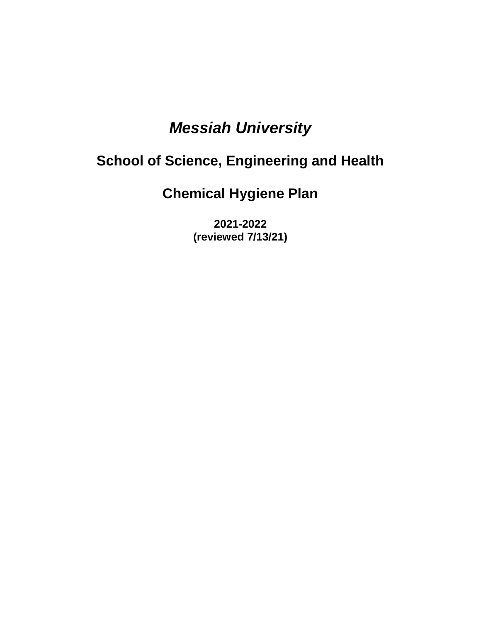# *Messiah University*

# **School of Science, Engineering and Health**

**Chemical Hygiene Plan**

**2021-2022 (reviewed 7/13/21)**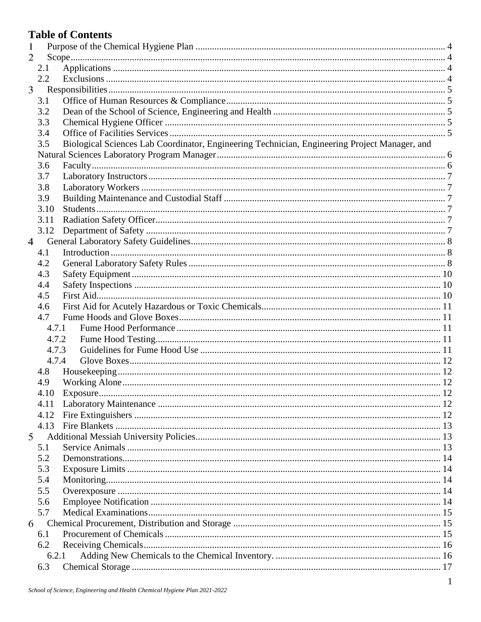## **Table of Contents**

| 1              |               |                                                                                               |  |
|----------------|---------------|-----------------------------------------------------------------------------------------------|--|
| $\overline{2}$ |               |                                                                                               |  |
|                | 2.1           |                                                                                               |  |
|                | $2.2^{\circ}$ |                                                                                               |  |
| 3              |               |                                                                                               |  |
|                | 3.1           |                                                                                               |  |
|                | 3.2           |                                                                                               |  |
|                | 3.3           |                                                                                               |  |
|                | 3.4           |                                                                                               |  |
|                | 3.5           | Biological Sciences Lab Coordinator, Engineering Technician, Engineering Project Manager, and |  |
|                |               |                                                                                               |  |
|                | 3.6           |                                                                                               |  |
|                | 3.7           |                                                                                               |  |
|                | 3.8           |                                                                                               |  |
|                | 3.9           |                                                                                               |  |
|                | 3.10          |                                                                                               |  |
|                | 3.11          |                                                                                               |  |
|                | 3.12          |                                                                                               |  |
|                |               |                                                                                               |  |
|                | 4.1           |                                                                                               |  |
|                | 4.2           |                                                                                               |  |
|                | 4.3           |                                                                                               |  |
|                | 4.4           |                                                                                               |  |
|                | 4.5           |                                                                                               |  |
|                | 4.6           |                                                                                               |  |
|                | 4.7           |                                                                                               |  |
|                | 4.7.1         |                                                                                               |  |
|                | 4.7.2         |                                                                                               |  |
|                | 4.7.3         |                                                                                               |  |
|                | 4.7.4         |                                                                                               |  |
|                | 4.8           |                                                                                               |  |
|                | 4.9           |                                                                                               |  |
|                |               |                                                                                               |  |
|                | 4.11          |                                                                                               |  |
|                | 4.12          |                                                                                               |  |
|                | 4.13          |                                                                                               |  |
| 5              |               |                                                                                               |  |
|                | 5.1           |                                                                                               |  |
|                | 5.2           |                                                                                               |  |
|                | 5.3           |                                                                                               |  |
|                | 5.4           |                                                                                               |  |
|                | 5.5           |                                                                                               |  |
|                | 5.6           |                                                                                               |  |
|                | 5.7           |                                                                                               |  |
| 6              |               |                                                                                               |  |
|                | 6.1           |                                                                                               |  |
|                | 6.2           |                                                                                               |  |
|                | 6.2.1         |                                                                                               |  |
|                | 6.3           |                                                                                               |  |
|                |               |                                                                                               |  |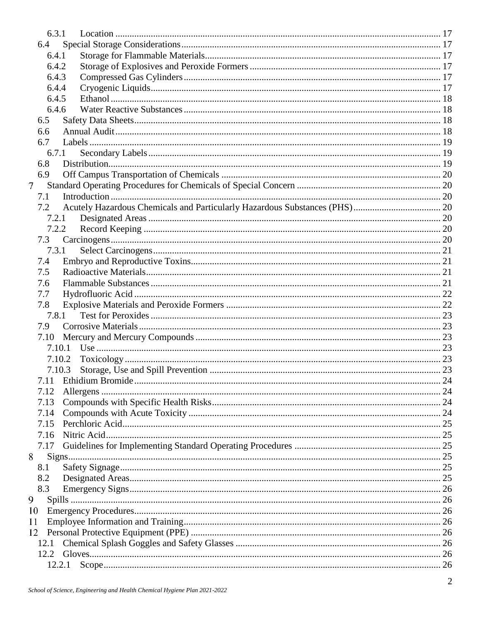| 6.3.1  |  |
|--------|--|
| 6.4    |  |
| 6.4.1  |  |
| 6.4.2  |  |
| 6.4.3  |  |
| 6.4.4  |  |
| 6.4.5  |  |
| 6.4.6  |  |
| 6.5    |  |
| 6.6    |  |
| 6.7    |  |
| 6.7.1  |  |
| 6.8    |  |
| 6.9    |  |
| 7.     |  |
| 7.1    |  |
| 7.2    |  |
| 7.2.1  |  |
| 7.2.2  |  |
| 7.3    |  |
| 7.3.1  |  |
| 7.4    |  |
| 7.5    |  |
|        |  |
| 7.6    |  |
| 7.7    |  |
| 7.8    |  |
| 7.8.1  |  |
| 7.9    |  |
|        |  |
|        |  |
| 7.10.2 |  |
| 7.10.3 |  |
|        |  |
| 7.12   |  |
| 7.13   |  |
| 7.14   |  |
| 7.15   |  |
| 7.16   |  |
| 7.17   |  |
| 8      |  |
| 8.1    |  |
| 8.2    |  |
| 8.3    |  |
| 9      |  |
| 10     |  |
| 11     |  |
| 12     |  |
| 12.1   |  |
|        |  |
| 12.2.1 |  |
|        |  |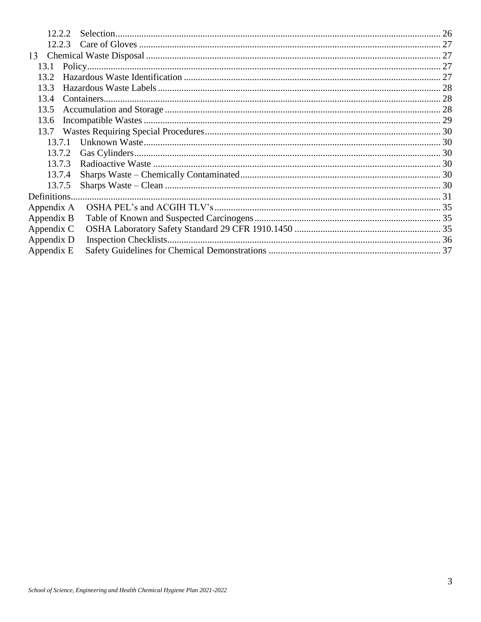| 12.2.2     |  |  |  |  |
|------------|--|--|--|--|
| 12.2.3     |  |  |  |  |
| 13         |  |  |  |  |
| 13.1       |  |  |  |  |
| 13.2       |  |  |  |  |
| 13.3       |  |  |  |  |
| 13.4       |  |  |  |  |
| 13.5       |  |  |  |  |
| 13.6       |  |  |  |  |
| 13.7       |  |  |  |  |
| 13.7.1     |  |  |  |  |
| 13.7.2     |  |  |  |  |
| 13.7.3     |  |  |  |  |
| 13.7.4     |  |  |  |  |
| 13.7.5     |  |  |  |  |
|            |  |  |  |  |
| Appendix A |  |  |  |  |
| Appendix B |  |  |  |  |
| Appendix C |  |  |  |  |
| Appendix D |  |  |  |  |
| Appendix E |  |  |  |  |
|            |  |  |  |  |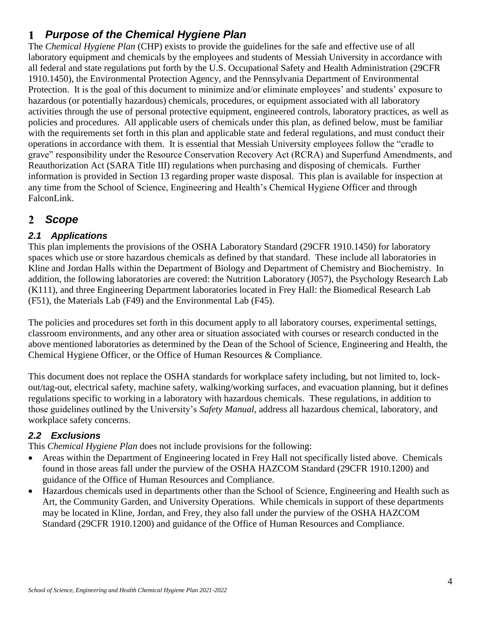#### *Purpose of the Chemical Hygiene Plan* 1

The *Chemical Hygiene Plan* (CHP) exists to provide the guidelines for the safe and effective use of all laboratory equipment and chemicals by the employees and students of Messiah University in accordance with all federal and state regulations put forth by the U.S. Occupational Safety and Health Administration (29CFR 1910.1450), the Environmental Protection Agency, and the Pennsylvania Department of Environmental Protection. It is the goal of this document to minimize and/or eliminate employees' and students' exposure to hazardous (or potentially hazardous) chemicals, procedures, or equipment associated with all laboratory activities through the use of personal protective equipment, engineered controls, laboratory practices, as well as policies and procedures. All applicable users of chemicals under this plan, as defined below, must be familiar with the requirements set forth in this plan and applicable state and federal regulations, and must conduct their operations in accordance with them. It is essential that Messiah University employees follow the "cradle to grave" responsibility under the Resource Conservation Recovery Act (RCRA) and Superfund Amendments, and Reauthorization Act (SARA Title III) regulations when purchasing and disposing of chemicals. Further information is provided in Section 13 regarding proper waste disposal. This plan is available for inspection at any time from the School of Science, Engineering and Health's Chemical Hygiene Officer and through FalconLink.

#### $\overline{2}$ *Scope*

## *2.1 Applications*

This plan implements the provisions of the OSHA Laboratory Standard (29CFR 1910.1450) for laboratory spaces which use or store hazardous chemicals as defined by that standard. These include all laboratories in Kline and Jordan Halls within the Department of Biology and Department of Chemistry and Biochemistry. In addition, the following laboratories are covered: the Nutrition Laboratory (J057), the Psychology Research Lab (K111), and three Engineering Department laboratories located in Frey Hall: the Biomedical Research Lab (F51), the Materials Lab (F49) and the Environmental Lab (F45).

The policies and procedures set forth in this document apply to all laboratory courses, experimental settings, classroom environments, and any other area or situation associated with courses or research conducted in the above mentioned laboratories as determined by the Dean of the School of Science, Engineering and Health, the Chemical Hygiene Officer, or the Office of Human Resources & Compliance.

This document does not replace the OSHA standards for workplace safety including, but not limited to, lockout/tag-out, electrical safety, machine safety, walking/working surfaces, and evacuation planning, but it defines regulations specific to working in a laboratory with hazardous chemicals. These regulations, in addition to those guidelines outlined by the University's *Safety Manual*, address all hazardous chemical, laboratory, and workplace safety concerns.

## *2.2 Exclusions*

This *Chemical Hygiene Plan* does not include provisions for the following:

- Areas within the Department of Engineering located in Frey Hall not specifically listed above. Chemicals found in those areas fall under the purview of the OSHA HAZCOM Standard (29CFR 1910.1200) and guidance of the Office of Human Resources and Compliance.
- Hazardous chemicals used in departments other than the School of Science, Engineering and Health such as Art, the Community Garden, and University Operations. While chemicals in support of these departments may be located in Kline, Jordan, and Frey, they also fall under the purview of the OSHA HAZCOM Standard (29CFR 1910.1200) and guidance of the Office of Human Resources and Compliance.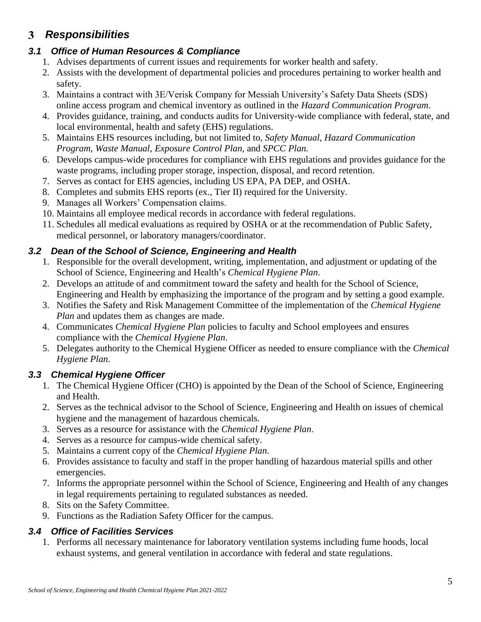#### *Responsibilities* 3

## *3.1 Office of Human Resources & Compliance*

- 1. Advises departments of current issues and requirements for worker health and safety.
- 2. Assists with the development of departmental policies and procedures pertaining to worker health and safety.
- 3. Maintains a contract with 3E/Verisk Company for Messiah University's Safety Data Sheets (SDS) online access program and chemical inventory as outlined in the *Hazard Communication Program*.
- 4. Provides guidance, training, and conducts audits for University-wide compliance with federal, state, and local environmental, health and safety (EHS) regulations.
- 5. Maintains EHS resources including, but not limited to, *Safety Manual*, *Hazard Communication Program*, *Waste Manual*, *Exposure Control Plan,* and *SPCC Plan.*
- 6. Develops campus-wide procedures for compliance with EHS regulations and provides guidance for the waste programs, including proper storage, inspection, disposal, and record retention.
- 7. Serves as contact for EHS agencies, including US EPA, PA DEP, and OSHA.
- 8. Completes and submits EHS reports (ex., Tier II) required for the University.
- 9. Manages all Workers' Compensation claims.
- 10. Maintains all employee medical records in accordance with federal regulations.
- 11. Schedules all medical evaluations as required by OSHA or at the recommendation of Public Safety, medical personnel, or laboratory managers/coordinator.

### *3.2 Dean of the School of Science, Engineering and Health*

- 1. Responsible for the overall development, writing, implementation, and adjustment or updating of the School of Science, Engineering and Health's *Chemical Hygiene Plan*.
- 2. Develops an attitude of and commitment toward the safety and health for the School of Science, Engineering and Health by emphasizing the importance of the program and by setting a good example.
- 3. Notifies the Safety and Risk Management Committee of the implementation of the *Chemical Hygiene Plan* and updates them as changes are made.
- 4. Communicates *Chemical Hygiene Plan* policies to faculty and School employees and ensures compliance with the *Chemical Hygiene Plan*.
- 5. Delegates authority to the Chemical Hygiene Officer as needed to ensure compliance with the *Chemical Hygiene Plan*.

### *3.3 Chemical Hygiene Officer*

- 1. The Chemical Hygiene Officer (CHO) is appointed by the Dean of the School of Science, Engineering and Health.
- 2. Serves as the technical advisor to the School of Science, Engineering and Health on issues of chemical hygiene and the management of hazardous chemicals.
- 3. Serves as a resource for assistance with the *Chemical Hygiene Plan*.
- 4. Serves as a resource for campus-wide chemical safety.
- 5. Maintains a current copy of the *Chemical Hygiene Plan*.
- 6. Provides assistance to faculty and staff in the proper handling of hazardous material spills and other emergencies.
- 7. Informs the appropriate personnel within the School of Science, Engineering and Health of any changes in legal requirements pertaining to regulated substances as needed.
- 8. Sits on the Safety Committee.
- 9. Functions as the Radiation Safety Officer for the campus.

### *3.4 Office of Facilities Services*

1. Performs all necessary maintenance for laboratory ventilation systems including fume hoods, local exhaust systems, and general ventilation in accordance with federal and state regulations.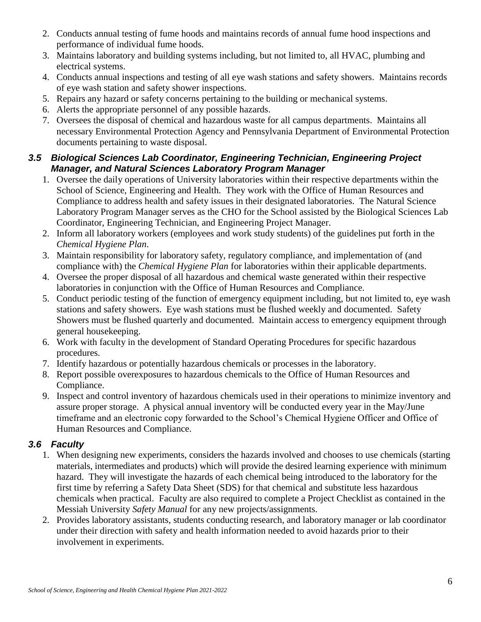- 2. Conducts annual testing of fume hoods and maintains records of annual fume hood inspections and performance of individual fume hoods.
- 3. Maintains laboratory and building systems including, but not limited to, all HVAC, plumbing and electrical systems.
- 4. Conducts annual inspections and testing of all eye wash stations and safety showers. Maintains records of eye wash station and safety shower inspections.
- 5. Repairs any hazard or safety concerns pertaining to the building or mechanical systems.
- 6. Alerts the appropriate personnel of any possible hazards.
- 7. Oversees the disposal of chemical and hazardous waste for all campus departments. Maintains all necessary Environmental Protection Agency and Pennsylvania Department of Environmental Protection documents pertaining to waste disposal.

### *3.5 Biological Sciences Lab Coordinator, Engineering Technician, Engineering Project Manager, and Natural Sciences Laboratory Program Manager*

- 1. Oversee the daily operations of University laboratories within their respective departments within the School of Science, Engineering and Health. They work with the Office of Human Resources and Compliance to address health and safety issues in their designated laboratories. The Natural Science Laboratory Program Manager serves as the CHO for the School assisted by the Biological Sciences Lab Coordinator, Engineering Technician, and Engineering Project Manager.
- 2. Inform all laboratory workers (employees and work study students) of the guidelines put forth in the *Chemical Hygiene Plan*.
- 3. Maintain responsibility for laboratory safety, regulatory compliance, and implementation of (and compliance with) the *Chemical Hygiene Plan* for laboratories within their applicable departments.
- 4. Oversee the proper disposal of all hazardous and chemical waste generated within their respective laboratories in conjunction with the Office of Human Resources and Compliance.
- 5. Conduct periodic testing of the function of emergency equipment including, but not limited to, eye wash stations and safety showers. Eye wash stations must be flushed weekly and documented. Safety Showers must be flushed quarterly and documented. Maintain access to emergency equipment through general housekeeping.
- 6. Work with faculty in the development of Standard Operating Procedures for specific hazardous procedures.
- 7. Identify hazardous or potentially hazardous chemicals or processes in the laboratory.
- 8. Report possible overexposures to hazardous chemicals to the Office of Human Resources and Compliance.
- 9. Inspect and control inventory of hazardous chemicals used in their operations to minimize inventory and assure proper storage. A physical annual inventory will be conducted every year in the May/June timeframe and an electronic copy forwarded to the School's Chemical Hygiene Officer and Office of Human Resources and Compliance.

## *3.6 Faculty*

- 1. When designing new experiments, considers the hazards involved and chooses to use chemicals (starting materials, intermediates and products) which will provide the desired learning experience with minimum hazard. They will investigate the hazards of each chemical being introduced to the laboratory for the first time by referring a Safety Data Sheet (SDS) for that chemical and substitute less hazardous chemicals when practical. Faculty are also required to complete a Project Checklist as contained in the Messiah University *Safety Manual* for any new projects/assignments.
- 2. Provides laboratory assistants, students conducting research, and laboratory manager or lab coordinator under their direction with safety and health information needed to avoid hazards prior to their involvement in experiments.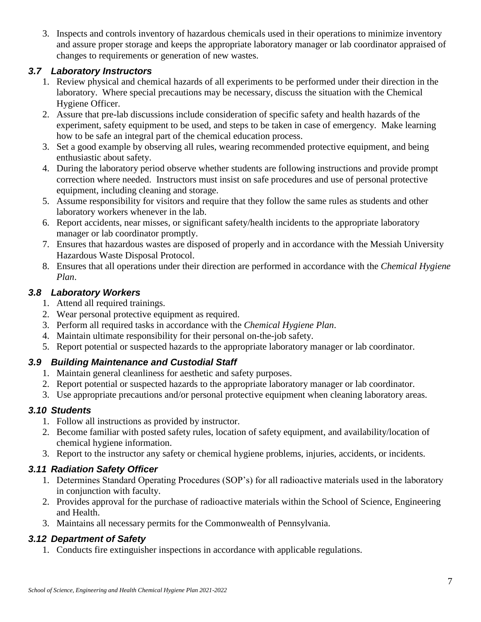3. Inspects and controls inventory of hazardous chemicals used in their operations to minimize inventory and assure proper storage and keeps the appropriate laboratory manager or lab coordinator appraised of changes to requirements or generation of new wastes.

### *3.7 Laboratory Instructors*

- 1. Review physical and chemical hazards of all experiments to be performed under their direction in the laboratory. Where special precautions may be necessary, discuss the situation with the Chemical Hygiene Officer.
- 2. Assure that pre-lab discussions include consideration of specific safety and health hazards of the experiment, safety equipment to be used, and steps to be taken in case of emergency. Make learning how to be safe an integral part of the chemical education process.
- 3. Set a good example by observing all rules, wearing recommended protective equipment, and being enthusiastic about safety.
- 4. During the laboratory period observe whether students are following instructions and provide prompt correction where needed. Instructors must insist on safe procedures and use of personal protective equipment, including cleaning and storage.
- 5. Assume responsibility for visitors and require that they follow the same rules as students and other laboratory workers whenever in the lab.
- 6. Report accidents, near misses, or significant safety/health incidents to the appropriate laboratory manager or lab coordinator promptly.
- 7. Ensures that hazardous wastes are disposed of properly and in accordance with the Messiah University Hazardous Waste Disposal Protocol.
- 8. Ensures that all operations under their direction are performed in accordance with the *Chemical Hygiene Plan*.

### *3.8 Laboratory Workers*

- 1. Attend all required trainings.
- 2. Wear personal protective equipment as required.
- 3. Perform all required tasks in accordance with the *Chemical Hygiene Plan*.
- 4. Maintain ultimate responsibility for their personal on-the-job safety.
- 5. Report potential or suspected hazards to the appropriate laboratory manager or lab coordinator.

### *3.9 Building Maintenance and Custodial Staff*

- 1. Maintain general cleanliness for aesthetic and safety purposes.
- 2. Report potential or suspected hazards to the appropriate laboratory manager or lab coordinator.
- 3. Use appropriate precautions and/or personal protective equipment when cleaning laboratory areas.

### *3.10 Students*

- 1. Follow all instructions as provided by instructor.
- 2. Become familiar with posted safety rules, location of safety equipment, and availability/location of chemical hygiene information.
- 3. Report to the instructor any safety or chemical hygiene problems, injuries, accidents, or incidents.

### *3.11 Radiation Safety Officer*

- 1. Determines Standard Operating Procedures (SOP's) for all radioactive materials used in the laboratory in conjunction with faculty.
- 2. Provides approval for the purchase of radioactive materials within the School of Science, Engineering and Health.
- 3. Maintains all necessary permits for the Commonwealth of Pennsylvania.

### *3.12 Department of Safety*

1. Conducts fire extinguisher inspections in accordance with applicable regulations.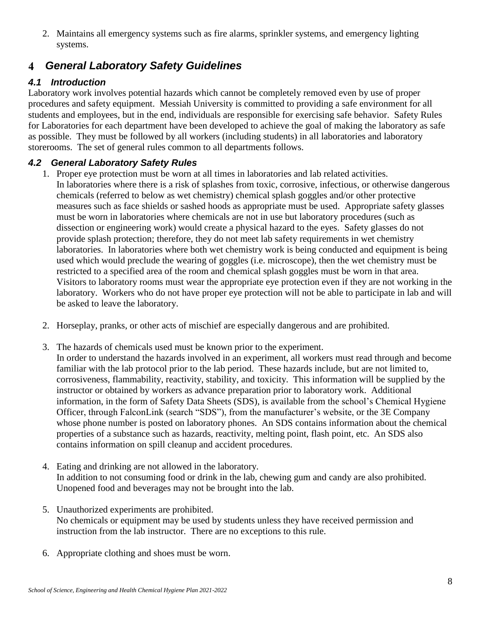2. Maintains all emergency systems such as fire alarms, sprinkler systems, and emergency lighting systems.

#### *General Laboratory Safety Guidelines*  $\overline{\mathbf{4}}$

### *4.1 Introduction*

Laboratory work involves potential hazards which cannot be completely removed even by use of proper procedures and safety equipment. Messiah University is committed to providing a safe environment for all students and employees, but in the end, individuals are responsible for exercising safe behavior. Safety Rules for Laboratories for each department have been developed to achieve the goal of making the laboratory as safe as possible. They must be followed by all workers (including students) in all laboratories and laboratory storerooms. The set of general rules common to all departments follows.

### *4.2 General Laboratory Safety Rules*

- 1. Proper eye protection must be worn at all times in laboratories and lab related activities. In laboratories where there is a risk of splashes from toxic, corrosive, infectious, or otherwise dangerous chemicals (referred to below as wet chemistry) chemical splash goggles and/or other protective measures such as face shields or sashed hoods as appropriate must be used. Appropriate safety glasses must be worn in laboratories where chemicals are not in use but laboratory procedures (such as dissection or engineering work) would create a physical hazard to the eyes. Safety glasses do not provide splash protection; therefore, they do not meet lab safety requirements in wet chemistry laboratories. In laboratories where both wet chemistry work is being conducted and equipment is being used which would preclude the wearing of goggles (i.e. microscope), then the wet chemistry must be restricted to a specified area of the room and chemical splash goggles must be worn in that area. Visitors to laboratory rooms must wear the appropriate eye protection even if they are not working in the laboratory. Workers who do not have proper eye protection will not be able to participate in lab and will be asked to leave the laboratory.
- 2. Horseplay, pranks, or other acts of mischief are especially dangerous and are prohibited.
- 3. The hazards of chemicals used must be known prior to the experiment. In order to understand the hazards involved in an experiment, all workers must read through and become familiar with the lab protocol prior to the lab period. These hazards include, but are not limited to, corrosiveness, flammability, reactivity, stability, and toxicity. This information will be supplied by the instructor or obtained by workers as advance preparation prior to laboratory work. Additional information, in the form of Safety Data Sheets (SDS), is available from the school's Chemical Hygiene Officer, through FalconLink (search "SDS"), from the manufacturer's website, or the 3E Company whose phone number is posted on laboratory phones. An SDS contains information about the chemical properties of a substance such as hazards, reactivity, melting point, flash point, etc. An SDS also contains information on spill cleanup and accident procedures.
- 4. Eating and drinking are not allowed in the laboratory. In addition to not consuming food or drink in the lab, chewing gum and candy are also prohibited. Unopened food and beverages may not be brought into the lab.
- 5. Unauthorized experiments are prohibited. No chemicals or equipment may be used by students unless they have received permission and instruction from the lab instructor. There are no exceptions to this rule.
- 6. Appropriate clothing and shoes must be worn.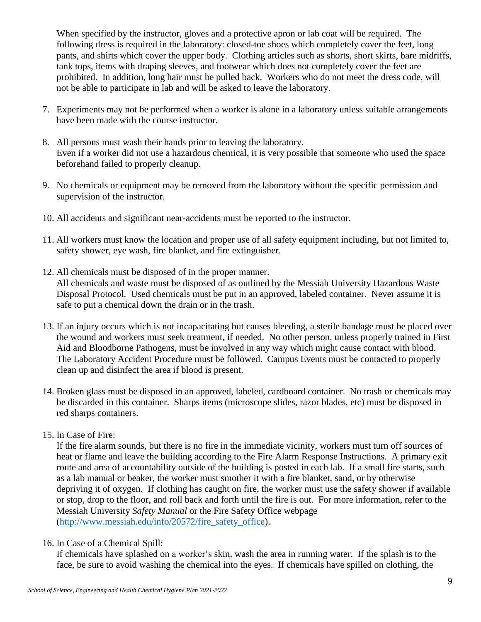When specified by the instructor, gloves and a protective apron or lab coat will be required. The following dress is required in the laboratory: closed-toe shoes which completely cover the feet, long pants, and shirts which cover the upper body. Clothing articles such as shorts, short skirts, bare midriffs, tank tops, items with draping sleeves, and footwear which does not completely cover the feet are prohibited. In addition, long hair must be pulled back. Workers who do not meet the dress code, will not be able to participate in lab and will be asked to leave the laboratory.

- 7. Experiments may not be performed when a worker is alone in a laboratory unless suitable arrangements have been made with the course instructor.
- 8. All persons must wash their hands prior to leaving the laboratory. Even if a worker did not use a hazardous chemical, it is very possible that someone who used the space beforehand failed to properly cleanup.
- 9. No chemicals or equipment may be removed from the laboratory without the specific permission and supervision of the instructor.
- 10. All accidents and significant near-accidents must be reported to the instructor.
- 11. All workers must know the location and proper use of all safety equipment including, but not limited to, safety shower, eye wash, fire blanket, and fire extinguisher.
- 12. All chemicals must be disposed of in the proper manner. All chemicals and waste must be disposed of as outlined by the Messiah University Hazardous Waste Disposal Protocol. Used chemicals must be put in an approved, labeled container. Never assume it is safe to put a chemical down the drain or in the trash.
- 13. If an injury occurs which is not incapacitating but causes bleeding, a sterile bandage must be placed over the wound and workers must seek treatment, if needed. No other person, unless properly trained in First Aid and Bloodborne Pathogens, must be involved in any way which might cause contact with blood. The Laboratory Accident Procedure must be followed. Campus Events must be contacted to properly clean up and disinfect the area if blood is present.
- 14. Broken glass must be disposed in an approved, labeled, cardboard container. No trash or chemicals may be discarded in this container. Sharps items (microscope slides, razor blades, etc) must be disposed in red sharps containers.
- 15. In Case of Fire:

If the fire alarm sounds, but there is no fire in the immediate vicinity, workers must turn off sources of heat or flame and leave the building according to the Fire Alarm Response Instructions. A primary exit route and area of accountability outside of the building is posted in each lab. If a small fire starts, such as a lab manual or beaker, the worker must smother it with a fire blanket, sand, or by otherwise depriving it of oxygen. If clothing has caught on fire, the worker must use the safety shower if available or stop, drop to the floor, and roll back and forth until the fire is out. For more information, refer to the Messiah University *Safety Manual* or the Fire Safety Office webpage [\(http://www.messiah.edu/info/20572/fire\\_safety\\_office\)](http://www.messiah.edu/info/20572/fire_safety_office).

16. In Case of a Chemical Spill:

If chemicals have splashed on a worker's skin, wash the area in running water. If the splash is to the face, be sure to avoid washing the chemical into the eyes. If chemicals have spilled on clothing, the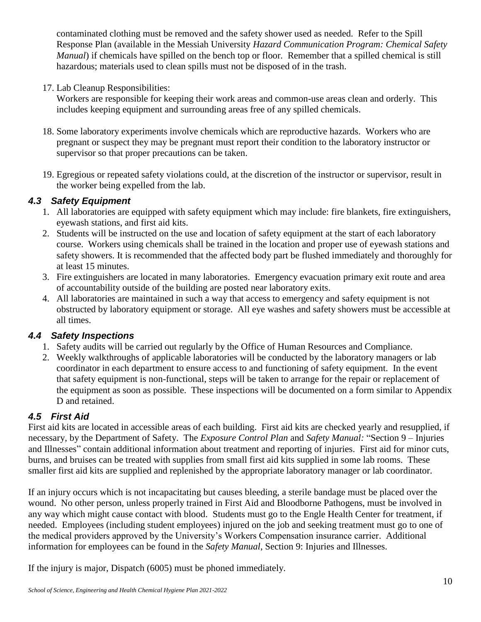contaminated clothing must be removed and the safety shower used as needed. Refer to the Spill Response Plan (available in the Messiah University *Hazard Communication Program: Chemical Safety Manual*) if chemicals have spilled on the bench top or floor. Remember that a spilled chemical is still hazardous; materials used to clean spills must not be disposed of in the trash.

17. Lab Cleanup Responsibilities:

Workers are responsible for keeping their work areas and common-use areas clean and orderly. This includes keeping equipment and surrounding areas free of any spilled chemicals.

- 18. Some laboratory experiments involve chemicals which are reproductive hazards. Workers who are pregnant or suspect they may be pregnant must report their condition to the laboratory instructor or supervisor so that proper precautions can be taken.
- 19. Egregious or repeated safety violations could, at the discretion of the instructor or supervisor, result in the worker being expelled from the lab.

### *4.3 Safety Equipment*

- 1. All laboratories are equipped with safety equipment which may include: fire blankets, fire extinguishers, eyewash stations, and first aid kits.
- 2. Students will be instructed on the use and location of safety equipment at the start of each laboratory course. Workers using chemicals shall be trained in the location and proper use of eyewash stations and safety showers. It is recommended that the affected body part be flushed immediately and thoroughly for at least 15 minutes.
- 3. Fire extinguishers are located in many laboratories. Emergency evacuation primary exit route and area of accountability outside of the building are posted near laboratory exits.
- 4. All laboratories are maintained in such a way that access to emergency and safety equipment is not obstructed by laboratory equipment or storage. All eye washes and safety showers must be accessible at all times.

## *4.4 Safety Inspections*

- 1. Safety audits will be carried out regularly by the Office of Human Resources and Compliance.
- 2. Weekly walkthroughs of applicable laboratories will be conducted by the laboratory managers or lab coordinator in each department to ensure access to and functioning of safety equipment. In the event that safety equipment is non-functional, steps will be taken to arrange for the repair or replacement of the equipment as soon as possible. These inspections will be documented on a form similar to Appendix D and retained.

## *4.5 First Aid*

First aid kits are located in accessible areas of each building. First aid kits are checked yearly and resupplied, if necessary, by the Department of Safety. The *Exposure Control Plan* and *Safety Manual:* "Section 9 – Injuries and Illnesses" contain additional information about treatment and reporting of injuries. First aid for minor cuts, burns, and bruises can be treated with supplies from small first aid kits supplied in some lab rooms. These smaller first aid kits are supplied and replenished by the appropriate laboratory manager or lab coordinator.

If an injury occurs which is not incapacitating but causes bleeding, a sterile bandage must be placed over the wound. No other person, unless properly trained in First Aid and Bloodborne Pathogens, must be involved in any way which might cause contact with blood. Students must go to the Engle Health Center for treatment, if needed. Employees (including student employees) injured on the job and seeking treatment must go to one of the medical providers approved by the University's Workers Compensation insurance carrier. Additional information for employees can be found in the *Safety Manual*, Section 9: Injuries and Illnesses.

If the injury is major, Dispatch (6005) must be phoned immediately.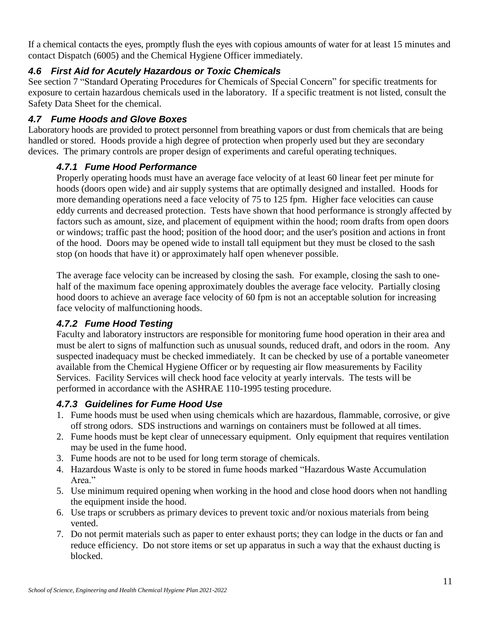If a chemical contacts the eyes, promptly flush the eyes with copious amounts of water for at least 15 minutes and contact Dispatch (6005) and the Chemical Hygiene Officer immediately.

### *4.6 First Aid for Acutely Hazardous or Toxic Chemicals*

See section 7 "Standard Operating Procedures for Chemicals of Special Concern" for specific treatments for exposure to certain hazardous chemicals used in the laboratory. If a specific treatment is not listed, consult the Safety Data Sheet for the chemical.

### *4.7 Fume Hoods and Glove Boxes*

Laboratory hoods are provided to protect personnel from breathing vapors or dust from chemicals that are being handled or stored. Hoods provide a high degree of protection when properly used but they are secondary devices. The primary controls are proper design of experiments and careful operating techniques.

### *4.7.1 Fume Hood Performance*

Properly operating hoods must have an average face velocity of at least 60 linear feet per minute for hoods (doors open wide) and air supply systems that are optimally designed and installed. Hoods for more demanding operations need a face velocity of 75 to 125 fpm. Higher face velocities can cause eddy currents and decreased protection. Tests have shown that hood performance is strongly affected by factors such as amount, size, and placement of equipment within the hood; room drafts from open doors or windows; traffic past the hood; position of the hood door; and the user's position and actions in front of the hood. Doors may be opened wide to install tall equipment but they must be closed to the sash stop (on hoods that have it) or approximately half open whenever possible.

The average face velocity can be increased by closing the sash. For example, closing the sash to onehalf of the maximum face opening approximately doubles the average face velocity. Partially closing hood doors to achieve an average face velocity of 60 fpm is not an acceptable solution for increasing face velocity of malfunctioning hoods.

### *4.7.2 Fume Hood Testing*

Faculty and laboratory instructors are responsible for monitoring fume hood operation in their area and must be alert to signs of malfunction such as unusual sounds, reduced draft, and odors in the room. Any suspected inadequacy must be checked immediately. It can be checked by use of a portable vaneometer available from the Chemical Hygiene Officer or by requesting air flow measurements by Facility Services. Facility Services will check hood face velocity at yearly intervals. The tests will be performed in accordance with the ASHRAE 110-1995 testing procedure.

### *4.7.3 Guidelines for Fume Hood Use*

- 1. Fume hoods must be used when using chemicals which are hazardous, flammable, corrosive, or give off strong odors. SDS instructions and warnings on containers must be followed at all times.
- 2. Fume hoods must be kept clear of unnecessary equipment. Only equipment that requires ventilation may be used in the fume hood.
- 3. Fume hoods are not to be used for long term storage of chemicals.
- 4. Hazardous Waste is only to be stored in fume hoods marked "Hazardous Waste Accumulation Area."
- 5. Use minimum required opening when working in the hood and close hood doors when not handling the equipment inside the hood.
- 6. Use traps or scrubbers as primary devices to prevent toxic and/or noxious materials from being vented.
- 7. Do not permit materials such as paper to enter exhaust ports; they can lodge in the ducts or fan and reduce efficiency. Do not store items or set up apparatus in such a way that the exhaust ducting is blocked.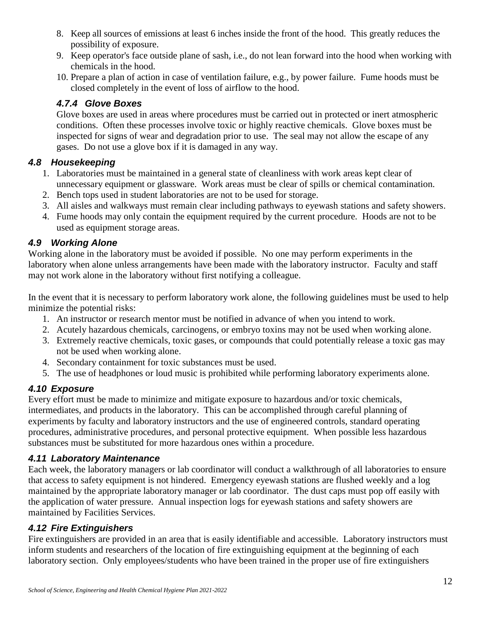- 8. Keep all sources of emissions at least 6 inches inside the front of the hood. This greatly reduces the possibility of exposure.
- 9. Keep operator's face outside plane of sash, i.e., do not lean forward into the hood when working with chemicals in the hood.
- 10. Prepare a plan of action in case of ventilation failure, e.g., by power failure. Fume hoods must be closed completely in the event of loss of airflow to the hood.

### *4.7.4 Glove Boxes*

Glove boxes are used in areas where procedures must be carried out in protected or inert atmospheric conditions. Often these processes involve toxic or highly reactive chemicals. Glove boxes must be inspected for signs of wear and degradation prior to use. The seal may not allow the escape of any gases. Do not use a glove box if it is damaged in any way.

### *4.8 Housekeeping*

- 1. Laboratories must be maintained in a general state of cleanliness with work areas kept clear of unnecessary equipment or glassware. Work areas must be clear of spills or chemical contamination.
- 2. Bench tops used in student laboratories are not to be used for storage.
- 3. All aisles and walkways must remain clear including pathways to eyewash stations and safety showers.
- 4. Fume hoods may only contain the equipment required by the current procedure. Hoods are not to be used as equipment storage areas.

### *4.9 Working Alone*

Working alone in the laboratory must be avoided if possible. No one may perform experiments in the laboratory when alone unless arrangements have been made with the laboratory instructor. Faculty and staff may not work alone in the laboratory without first notifying a colleague.

In the event that it is necessary to perform laboratory work alone, the following guidelines must be used to help minimize the potential risks:

- 1. An instructor or research mentor must be notified in advance of when you intend to work.
- 2. Acutely hazardous chemicals, carcinogens, or embryo toxins may not be used when working alone.
- 3. Extremely reactive chemicals, toxic gases, or compounds that could potentially release a toxic gas may not be used when working alone.
- 4. Secondary containment for toxic substances must be used.
- 5. The use of headphones or loud music is prohibited while performing laboratory experiments alone.

### *4.10 Exposure*

Every effort must be made to minimize and mitigate exposure to hazardous and/or toxic chemicals, intermediates, and products in the laboratory. This can be accomplished through careful planning of experiments by faculty and laboratory instructors and the use of engineered controls, standard operating procedures, administrative procedures, and personal protective equipment. When possible less hazardous substances must be substituted for more hazardous ones within a procedure.

### *4.11 Laboratory Maintenance*

Each week, the laboratory managers or lab coordinator will conduct a walkthrough of all laboratories to ensure that access to safety equipment is not hindered. Emergency eyewash stations are flushed weekly and a log maintained by the appropriate laboratory manager or lab coordinator. The dust caps must pop off easily with the application of water pressure. Annual inspection logs for eyewash stations and safety showers are maintained by Facilities Services.

### *4.12 Fire Extinguishers*

Fire extinguishers are provided in an area that is easily identifiable and accessible. Laboratory instructors must inform students and researchers of the location of fire extinguishing equipment at the beginning of each laboratory section. Only employees/students who have been trained in the proper use of fire extinguishers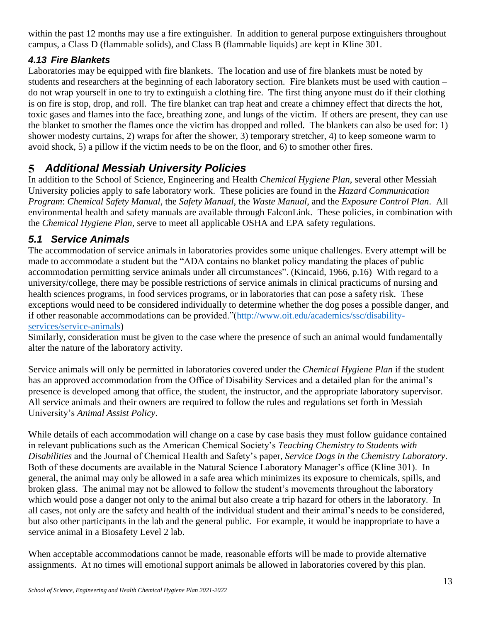within the past 12 months may use a fire extinguisher. In addition to general purpose extinguishers throughout campus, a Class D (flammable solids), and Class B (flammable liquids) are kept in Kline 301.

## *4.13 Fire Blankets*

Laboratories may be equipped with fire blankets. The location and use of fire blankets must be noted by students and researchers at the beginning of each laboratory section. Fire blankets must be used with caution – do not wrap yourself in one to try to extinguish a clothing fire. The first thing anyone must do if their clothing is on fire is stop, drop, and roll. The fire blanket can trap heat and create a chimney effect that directs the hot, toxic gases and flames into the face, breathing zone, and lungs of the victim. If others are present, they can use the blanket to smother the flames once the victim has dropped and rolled. The blankets can also be used for: 1) shower modesty curtains, 2) wraps for after the shower, 3) temporary stretcher, 4) to keep someone warm to avoid shock, 5) a pillow if the victim needs to be on the floor, and 6) to smother other fires.

#### 5 *Additional Messiah University Policies*

In addition to the School of Science, Engineering and Health *Chemical Hygiene Plan*, several other Messiah University policies apply to safe laboratory work. These policies are found in the *Hazard Communication Program*: *Chemical Safety Manual*, the *Safety Manual*, the *Waste Manual*, and the *Exposure Control Plan*. All environmental health and safety manuals are available through FalconLink. These policies, in combination with the *Chemical Hygiene Plan*, serve to meet all applicable OSHA and EPA safety regulations.

## *5.1 Service Animals*

The accommodation of service animals in laboratories provides some unique challenges. Every attempt will be made to accommodate a student but the "ADA contains no blanket policy mandating the places of public accommodation permitting service animals under all circumstances". (Kincaid, 1966, p.16) With regard to a university/college, there may be possible restrictions of service animals in clinical practicums of nursing and health sciences programs, in food services programs, or in laboratories that can pose a safety risk. These exceptions would need to be considered individually to determine whether the dog poses a possible danger, and if other reasonable accommodations can be provided."[\(http://www.oit.edu/academics/ssc/disability](http://www.oit.edu/academics/ssc/disability-services/service-animals)[services/service-animals\)](http://www.oit.edu/academics/ssc/disability-services/service-animals)

Similarly, consideration must be given to the case where the presence of such an animal would fundamentally alter the nature of the laboratory activity.

Service animals will only be permitted in laboratories covered under the *Chemical Hygiene Plan* if the student has an approved accommodation from the Office of Disability Services and a detailed plan for the animal's presence is developed among that office, the student, the instructor, and the appropriate laboratory supervisor. All service animals and their owners are required to follow the rules and regulations set forth in Messiah University's *Animal Assist Policy*.

While details of each accommodation will change on a case by case basis they must follow guidance contained in relevant publications such as the American Chemical Society's *Teaching Chemistry to Students with Disabilities* and the Journal of Chemical Health and Safety's paper, *Service Dogs in the Chemistry Laboratory*. Both of these documents are available in the Natural Science Laboratory Manager's office (Kline 301). In general, the animal may only be allowed in a safe area which minimizes its exposure to chemicals, spills, and broken glass. The animal may not be allowed to follow the student's movements throughout the laboratory which would pose a danger not only to the animal but also create a trip hazard for others in the laboratory. In all cases, not only are the safety and health of the individual student and their animal's needs to be considered, but also other participants in the lab and the general public. For example, it would be inappropriate to have a service animal in a Biosafety Level 2 lab.

When acceptable accommodations cannot be made, reasonable efforts will be made to provide alternative assignments. At no times will emotional support animals be allowed in laboratories covered by this plan.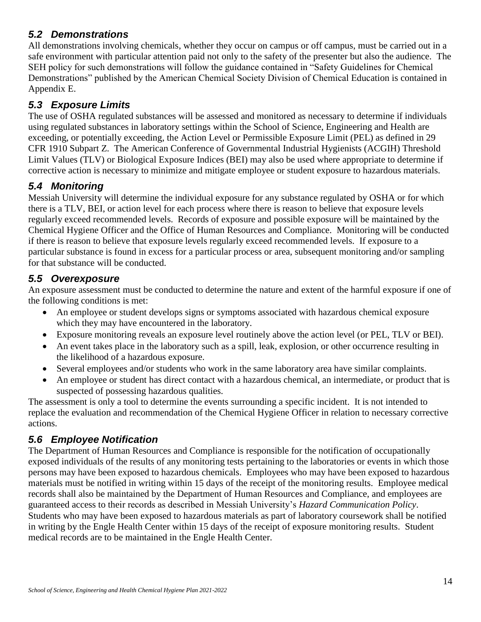## *5.2 Demonstrations*

All demonstrations involving chemicals, whether they occur on campus or off campus, must be carried out in a safe environment with particular attention paid not only to the safety of the presenter but also the audience. The SEH policy for such demonstrations will follow the guidance contained in "Safety Guidelines for Chemical Demonstrations" published by the American Chemical Society Division of Chemical Education is contained in Appendix E.

## *5.3 Exposure Limits*

The use of OSHA regulated substances will be assessed and monitored as necessary to determine if individuals using regulated substances in laboratory settings within the School of Science, Engineering and Health are exceeding, or potentially exceeding, the Action Level or Permissible Exposure Limit (PEL) as defined in 29 CFR 1910 Subpart Z. The American Conference of Governmental Industrial Hygienists (ACGIH) Threshold Limit Values (TLV) or Biological Exposure Indices (BEI) may also be used where appropriate to determine if corrective action is necessary to minimize and mitigate employee or student exposure to hazardous materials.

## *5.4 Monitoring*

Messiah University will determine the individual exposure for any substance regulated by OSHA or for which there is a TLV, BEI, or action level for each process where there is reason to believe that exposure levels regularly exceed recommended levels. Records of exposure and possible exposure will be maintained by the Chemical Hygiene Officer and the Office of Human Resources and Compliance. Monitoring will be conducted if there is reason to believe that exposure levels regularly exceed recommended levels. If exposure to a particular substance is found in excess for a particular process or area, subsequent monitoring and/or sampling for that substance will be conducted.

## *5.5 Overexposure*

An exposure assessment must be conducted to determine the nature and extent of the harmful exposure if one of the following conditions is met:

- An employee or student develops signs or symptoms associated with hazardous chemical exposure which they may have encountered in the laboratory.
- Exposure monitoring reveals an exposure level routinely above the action level (or PEL, TLV or BEI).
- An event takes place in the laboratory such as a spill, leak, explosion, or other occurrence resulting in the likelihood of a hazardous exposure.
- Several employees and/or students who work in the same laboratory area have similar complaints.
- An employee or student has direct contact with a hazardous chemical, an intermediate, or product that is suspected of possessing hazardous qualities.

The assessment is only a tool to determine the events surrounding a specific incident. It is not intended to replace the evaluation and recommendation of the Chemical Hygiene Officer in relation to necessary corrective actions.

## *5.6 Employee Notification*

The Department of Human Resources and Compliance is responsible for the notification of occupationally exposed individuals of the results of any monitoring tests pertaining to the laboratories or events in which those persons may have been exposed to hazardous chemicals. Employees who may have been exposed to hazardous materials must be notified in writing within 15 days of the receipt of the monitoring results. Employee medical records shall also be maintained by the Department of Human Resources and Compliance, and employees are guaranteed access to their records as described in Messiah University's *Hazard Communication Policy*. Students who may have been exposed to hazardous materials as part of laboratory coursework shall be notified in writing by the Engle Health Center within 15 days of the receipt of exposure monitoring results. Student medical records are to be maintained in the Engle Health Center.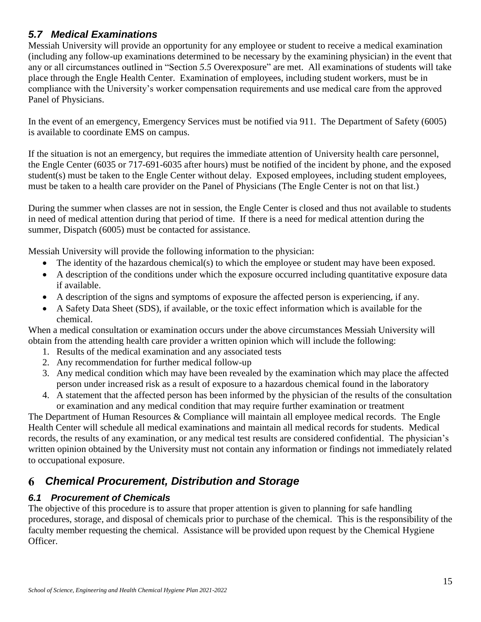## *5.7 Medical Examinations*

Messiah University will provide an opportunity for any employee or student to receive a medical examination (including any follow-up examinations determined to be necessary by the examining physician) in the event that any or all circumstances outlined in "Section *5.5* Overexposure" are met. All examinations of students will take place through the Engle Health Center. Examination of employees, including student workers, must be in compliance with the University's worker compensation requirements and use medical care from the approved Panel of Physicians.

In the event of an emergency, Emergency Services must be notified via 911. The Department of Safety (6005) is available to coordinate EMS on campus.

If the situation is not an emergency, but requires the immediate attention of University health care personnel, the Engle Center (6035 or 717-691-6035 after hours) must be notified of the incident by phone, and the exposed student(s) must be taken to the Engle Center without delay. Exposed employees, including student employees, must be taken to a health care provider on the Panel of Physicians (The Engle Center is not on that list.)

During the summer when classes are not in session, the Engle Center is closed and thus not available to students in need of medical attention during that period of time. If there is a need for medical attention during the summer, Dispatch (6005) must be contacted for assistance.

Messiah University will provide the following information to the physician:

- The identity of the hazardous chemical(s) to which the employee or student may have been exposed.
- A description of the conditions under which the exposure occurred including quantitative exposure data if available.
- A description of the signs and symptoms of exposure the affected person is experiencing, if any.
- A Safety Data Sheet (SDS), if available, or the toxic effect information which is available for the chemical.

When a medical consultation or examination occurs under the above circumstances Messiah University will obtain from the attending health care provider a written opinion which will include the following:

- 1. Results of the medical examination and any associated tests
- 2. Any recommendation for further medical follow-up
- 3. Any medical condition which may have been revealed by the examination which may place the affected person under increased risk as a result of exposure to a hazardous chemical found in the laboratory
- 4. A statement that the affected person has been informed by the physician of the results of the consultation or examination and any medical condition that may require further examination or treatment

The Department of Human Resources & Compliance will maintain all employee medical records. The Engle Health Center will schedule all medical examinations and maintain all medical records for students. Medical records, the results of any examination, or any medical test results are considered confidential. The physician's written opinion obtained by the University must not contain any information or findings not immediately related to occupational exposure.

#### *Chemical Procurement, Distribution and Storage* 6

### *6.1 Procurement of Chemicals*

The objective of this procedure is to assure that proper attention is given to planning for safe handling procedures, storage, and disposal of chemicals prior to purchase of the chemical. This is the responsibility of the faculty member requesting the chemical. Assistance will be provided upon request by the Chemical Hygiene Officer.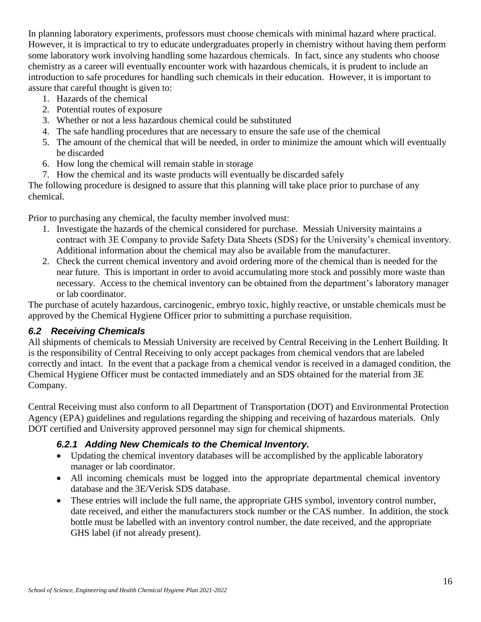In planning laboratory experiments, professors must choose chemicals with minimal hazard where practical. However, it is impractical to try to educate undergraduates properly in chemistry without having them perform some laboratory work involving handling some hazardous chemicals. In fact, since any students who choose chemistry as a career will eventually encounter work with hazardous chemicals, it is prudent to include an introduction to safe procedures for handling such chemicals in their education. However, it is important to assure that careful thought is given to:

- 1. Hazards of the chemical
- 2. Potential routes of exposure
- 3. Whether or not a less hazardous chemical could be substituted
- 4. The safe handling procedures that are necessary to ensure the safe use of the chemical
- 5. The amount of the chemical that will be needed, in order to minimize the amount which will eventually be discarded
- 6. How long the chemical will remain stable in storage
- 7. How the chemical and its waste products will eventually be discarded safely

The following procedure is designed to assure that this planning will take place prior to purchase of any chemical.

Prior to purchasing any chemical, the faculty member involved must:

- 1. Investigate the hazards of the chemical considered for purchase. Messiah University maintains a contract with 3E Company to provide Safety Data Sheets (SDS) for the University's chemical inventory. Additional information about the chemical may also be available from the manufacturer.
- 2. Check the current chemical inventory and avoid ordering more of the chemical than is needed for the near future. This is important in order to avoid accumulating more stock and possibly more waste than necessary. Access to the chemical inventory can be obtained from the department's laboratory manager or lab coordinator.

The purchase of acutely hazardous, carcinogenic, embryo toxic, highly reactive, or unstable chemicals must be approved by the Chemical Hygiene Officer prior to submitting a purchase requisition.

### *6.2 Receiving Chemicals*

All shipments of chemicals to Messiah University are received by Central Receiving in the Lenhert Building. It is the responsibility of Central Receiving to only accept packages from chemical vendors that are labeled correctly and intact. In the event that a package from a chemical vendor is received in a damaged condition, the Chemical Hygiene Officer must be contacted immediately and an SDS obtained for the material from 3E Company.

Central Receiving must also conform to all Department of Transportation (DOT) and Environmental Protection Agency (EPA) guidelines and regulations regarding the shipping and receiving of hazardous materials. Only DOT certified and University approved personnel may sign for chemical shipments.

### *6.2.1 Adding New Chemicals to the Chemical Inventory.*

- Updating the chemical inventory databases will be accomplished by the applicable laboratory manager or lab coordinator.
- All incoming chemicals must be logged into the appropriate departmental chemical inventory database and the 3E/Verisk SDS database.
- These entries will include the full name, the appropriate GHS symbol, inventory control number, date received, and either the manufacturers stock number or the CAS number. In addition, the stock bottle must be labelled with an inventory control number, the date received, and the appropriate GHS label (if not already present).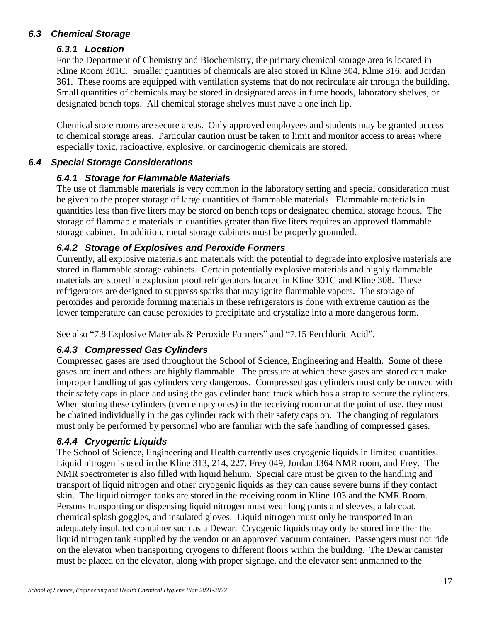### *6.3 Chemical Storage*

### *6.3.1 Location*

For the Department of Chemistry and Biochemistry, the primary chemical storage area is located in Kline Room 301C. Smaller quantities of chemicals are also stored in Kline 304, Kline 316, and Jordan 361. These rooms are equipped with ventilation systems that do not recirculate air through the building. Small quantities of chemicals may be stored in designated areas in fume hoods, laboratory shelves, or designated bench tops. All chemical storage shelves must have a one inch lip.

Chemical store rooms are secure areas. Only approved employees and students may be granted access to chemical storage areas. Particular caution must be taken to limit and monitor access to areas where especially toxic, radioactive, explosive, or carcinogenic chemicals are stored.

### *6.4 Special Storage Considerations*

### *6.4.1 Storage for Flammable Materials*

The use of flammable materials is very common in the laboratory setting and special consideration must be given to the proper storage of large quantities of flammable materials. Flammable materials in quantities less than five liters may be stored on bench tops or designated chemical storage hoods. The storage of flammable materials in quantities greater than five liters requires an approved flammable storage cabinet. In addition, metal storage cabinets must be properly grounded.

### *6.4.2 Storage of Explosives and Peroxide Formers*

Currently, all explosive materials and materials with the potential to degrade into explosive materials are stored in flammable storage cabinets. Certain potentially explosive materials and highly flammable materials are stored in explosion proof refrigerators located in Kline 301C and Kline 308. These refrigerators are designed to suppress sparks that may ignite flammable vapors. The storage of peroxides and peroxide forming materials in these refrigerators is done with extreme caution as the lower temperature can cause peroxides to precipitate and crystalize into a more dangerous form.

See also "7.8 Explosive Materials & Peroxide Formers" and "7.15 Perchloric Acid".

### *6.4.3 Compressed Gas Cylinders*

Compressed gases are used throughout the School of Science, Engineering and Health. Some of these gases are inert and others are highly flammable. The pressure at which these gases are stored can make improper handling of gas cylinders very dangerous. Compressed gas cylinders must only be moved with their safety caps in place and using the gas cylinder hand truck which has a strap to secure the cylinders. When storing these cylinders (even empty ones) in the receiving room or at the point of use, they must be chained individually in the gas cylinder rack with their safety caps on. The changing of regulators must only be performed by personnel who are familiar with the safe handling of compressed gases.

### *6.4.4 Cryogenic Liquids*

The School of Science, Engineering and Health currently uses cryogenic liquids in limited quantities. Liquid nitrogen is used in the Kline 313, 214, 227, Frey 049, Jordan J364 NMR room, and Frey. The NMR spectrometer is also filled with liquid helium. Special care must be given to the handling and transport of liquid nitrogen and other cryogenic liquids as they can cause severe burns if they contact skin. The liquid nitrogen tanks are stored in the receiving room in Kline 103 and the NMR Room. Persons transporting or dispensing liquid nitrogen must wear long pants and sleeves, a lab coat, chemical splash goggles, and insulated gloves. Liquid nitrogen must only be transported in an adequately insulated container such as a Dewar. Cryogenic liquids may only be stored in either the liquid nitrogen tank supplied by the vendor or an approved vacuum container. Passengers must not ride on the elevator when transporting cryogens to different floors within the building. The Dewar canister must be placed on the elevator, along with proper signage, and the elevator sent unmanned to the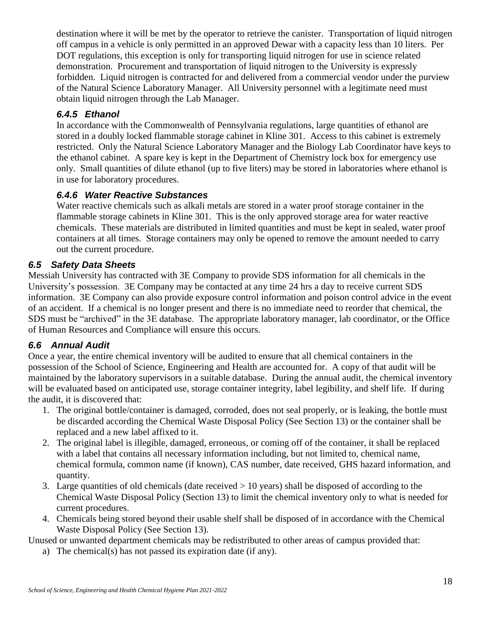destination where it will be met by the operator to retrieve the canister. Transportation of liquid nitrogen off campus in a vehicle is only permitted in an approved Dewar with a capacity less than 10 liters. Per DOT regulations, this exception is only for transporting liquid nitrogen for use in science related demonstration. Procurement and transportation of liquid nitrogen to the University is expressly forbidden. Liquid nitrogen is contracted for and delivered from a commercial vendor under the purview of the Natural Science Laboratory Manager. All University personnel with a legitimate need must obtain liquid nitrogen through the Lab Manager.

## *6.4.5 Ethanol*

In accordance with the Commonwealth of Pennsylvania regulations, large quantities of ethanol are stored in a doubly locked flammable storage cabinet in Kline 301. Access to this cabinet is extremely restricted. Only the Natural Science Laboratory Manager and the Biology Lab Coordinator have keys to the ethanol cabinet. A spare key is kept in the Department of Chemistry lock box for emergency use only. Small quantities of dilute ethanol (up to five liters) may be stored in laboratories where ethanol is in use for laboratory procedures.

### *6.4.6 Water Reactive Substances*

Water reactive chemicals such as alkali metals are stored in a water proof storage container in the flammable storage cabinets in Kline 301. This is the only approved storage area for water reactive chemicals. These materials are distributed in limited quantities and must be kept in sealed, water proof containers at all times. Storage containers may only be opened to remove the amount needed to carry out the current procedure.

### *6.5 Safety Data Sheets*

Messiah University has contracted with 3E Company to provide SDS information for all chemicals in the University's possession. 3E Company may be contacted at any time 24 hrs a day to receive current SDS information. 3E Company can also provide exposure control information and poison control advice in the event of an accident. If a chemical is no longer present and there is no immediate need to reorder that chemical, the SDS must be "archived" in the 3E database. The appropriate laboratory manager, lab coordinator, or the Office of Human Resources and Compliance will ensure this occurs.

### *6.6 Annual Audit*

Once a year, the entire chemical inventory will be audited to ensure that all chemical containers in the possession of the School of Science, Engineering and Health are accounted for. A copy of that audit will be maintained by the laboratory supervisors in a suitable database. During the annual audit, the chemical inventory will be evaluated based on anticipated use, storage container integrity, label legibility, and shelf life. If during the audit, it is discovered that:

- 1. The original bottle/container is damaged, corroded, does not seal properly, or is leaking, the bottle must be discarded according the Chemical Waste Disposal Policy (See Section 13) or the container shall be replaced and a new label affixed to it.
- 2. The original label is illegible, damaged, erroneous, or coming off of the container, it shall be replaced with a label that contains all necessary information including, but not limited to, chemical name, chemical formula, common name (if known), CAS number, date received, GHS hazard information, and quantity.
- 3. Large quantities of old chemicals (date received > 10 years) shall be disposed of according to the Chemical Waste Disposal Policy (Section 13) to limit the chemical inventory only to what is needed for current procedures.
- 4. Chemicals being stored beyond their usable shelf shall be disposed of in accordance with the Chemical Waste Disposal Policy (See Section 13).

Unused or unwanted department chemicals may be redistributed to other areas of campus provided that:

a) The chemical(s) has not passed its expiration date (if any).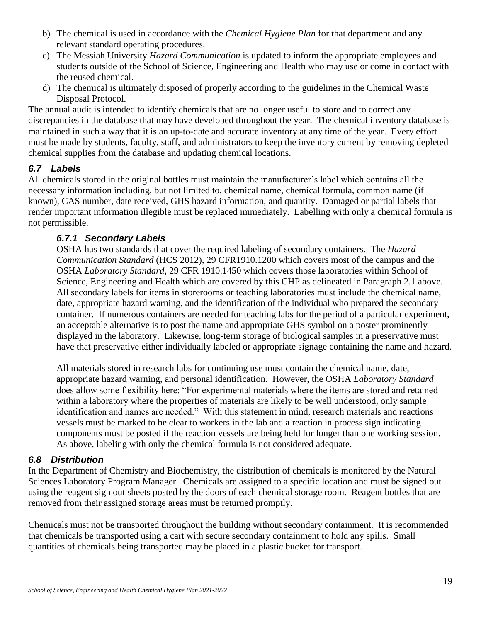- b) The chemical is used in accordance with the *Chemical Hygiene Plan* for that department and any relevant standard operating procedures.
- c) The Messiah University *Hazard Communication* is updated to inform the appropriate employees and students outside of the School of Science, Engineering and Health who may use or come in contact with the reused chemical.
- d) The chemical is ultimately disposed of properly according to the guidelines in the Chemical Waste Disposal Protocol.

The annual audit is intended to identify chemicals that are no longer useful to store and to correct any discrepancies in the database that may have developed throughout the year. The chemical inventory database is maintained in such a way that it is an up-to-date and accurate inventory at any time of the year. Every effort must be made by students, faculty, staff, and administrators to keep the inventory current by removing depleted chemical supplies from the database and updating chemical locations.

### *6.7 Labels*

All chemicals stored in the original bottles must maintain the manufacturer's label which contains all the necessary information including, but not limited to, chemical name, chemical formula, common name (if known), CAS number, date received, GHS hazard information, and quantity. Damaged or partial labels that render important information illegible must be replaced immediately. Labelling with only a chemical formula is not permissible.

### *6.7.1 Secondary Labels*

OSHA has two standards that cover the required labeling of secondary containers. The *Hazard Communication Standard* (HCS 2012), 29 CFR1910.1200 which covers most of the campus and the OSHA *Laboratory Standard*, 29 CFR 1910.1450 which covers those laboratories within School of Science, Engineering and Health which are covered by this CHP as delineated in Paragraph 2.1 above. All secondary labels for items in storerooms or teaching laboratories must include the chemical name, date, appropriate hazard warning, and the identification of the individual who prepared the secondary container. If numerous containers are needed for teaching labs for the period of a particular experiment, an acceptable alternative is to post the name and appropriate GHS symbol on a poster prominently displayed in the laboratory. Likewise, long-term storage of biological samples in a preservative must have that preservative either individually labeled or appropriate signage containing the name and hazard.

All materials stored in research labs for continuing use must contain the chemical name, date, appropriate hazard warning, and personal identification. However, the OSHA *Laboratory Standard* does allow some flexibility here: "For experimental materials where the items are stored and retained within a laboratory where the properties of materials are likely to be well understood, only sample identification and names are needed." With this statement in mind, research materials and reactions vessels must be marked to be clear to workers in the lab and a reaction in process sign indicating components must be posted if the reaction vessels are being held for longer than one working session. As above, labeling with only the chemical formula is not considered adequate.

### *6.8 Distribution*

In the Department of Chemistry and Biochemistry, the distribution of chemicals is monitored by the Natural Sciences Laboratory Program Manager. Chemicals are assigned to a specific location and must be signed out using the reagent sign out sheets posted by the doors of each chemical storage room. Reagent bottles that are removed from their assigned storage areas must be returned promptly.

Chemicals must not be transported throughout the building without secondary containment. It is recommended that chemicals be transported using a cart with secure secondary containment to hold any spills. Small quantities of chemicals being transported may be placed in a plastic bucket for transport.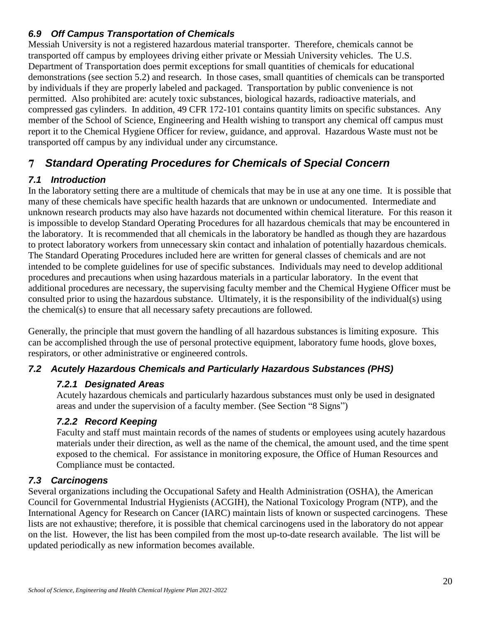## *6.9 Off Campus Transportation of Chemicals*

Messiah University is not a registered hazardous material transporter. Therefore, chemicals cannot be transported off campus by employees driving either private or Messiah University vehicles. The U.S. Department of Transportation does permit exceptions for small quantities of chemicals for educational demonstrations (see section 5.2) and research. In those cases, small quantities of chemicals can be transported by individuals if they are properly labeled and packaged. Transportation by public convenience is not permitted. Also prohibited are: acutely toxic substances, biological hazards, radioactive materials, and compressed gas cylinders. In addition, 49 CFR 172-101 contains quantity limits on specific substances. Any member of the School of Science, Engineering and Health wishing to transport any chemical off campus must report it to the Chemical Hygiene Officer for review, guidance, and approval. Hazardous Waste must not be transported off campus by any individual under any circumstance.

#### *Standard Operating Procedures for Chemicals of Special Concern* 7

### *7.1 Introduction*

In the laboratory setting there are a multitude of chemicals that may be in use at any one time. It is possible that many of these chemicals have specific health hazards that are unknown or undocumented. Intermediate and unknown research products may also have hazards not documented within chemical literature. For this reason it is impossible to develop Standard Operating Procedures for all hazardous chemicals that may be encountered in the laboratory. It is recommended that all chemicals in the laboratory be handled as though they are hazardous to protect laboratory workers from unnecessary skin contact and inhalation of potentially hazardous chemicals. The Standard Operating Procedures included here are written for general classes of chemicals and are not intended to be complete guidelines for use of specific substances. Individuals may need to develop additional procedures and precautions when using hazardous materials in a particular laboratory. In the event that additional procedures are necessary, the supervising faculty member and the Chemical Hygiene Officer must be consulted prior to using the hazardous substance. Ultimately, it is the responsibility of the individual(s) using the chemical(s) to ensure that all necessary safety precautions are followed.

Generally, the principle that must govern the handling of all hazardous substances is limiting exposure. This can be accomplished through the use of personal protective equipment, laboratory fume hoods, glove boxes, respirators, or other administrative or engineered controls.

### *7.2 Acutely Hazardous Chemicals and Particularly Hazardous Substances (PHS)*

### *7.2.1 Designated Areas*

Acutely hazardous chemicals and particularly hazardous substances must only be used in designated areas and under the supervision of a faculty member. (See Section "8 Signs")

### *7.2.2 Record Keeping*

Faculty and staff must maintain records of the names of students or employees using acutely hazardous materials under their direction, as well as the name of the chemical, the amount used, and the time spent exposed to the chemical. For assistance in monitoring exposure, the Office of Human Resources and Compliance must be contacted.

### *7.3 Carcinogens*

Several organizations including the Occupational Safety and Health Administration (OSHA), the American Council for Governmental Industrial Hygienists (ACGIH), the National Toxicology Program (NTP), and the International Agency for Research on Cancer (IARC) maintain lists of known or suspected carcinogens. These lists are not exhaustive; therefore, it is possible that chemical carcinogens used in the laboratory do not appear on the list. However, the list has been compiled from the most up-to-date research available. The list will be updated periodically as new information becomes available.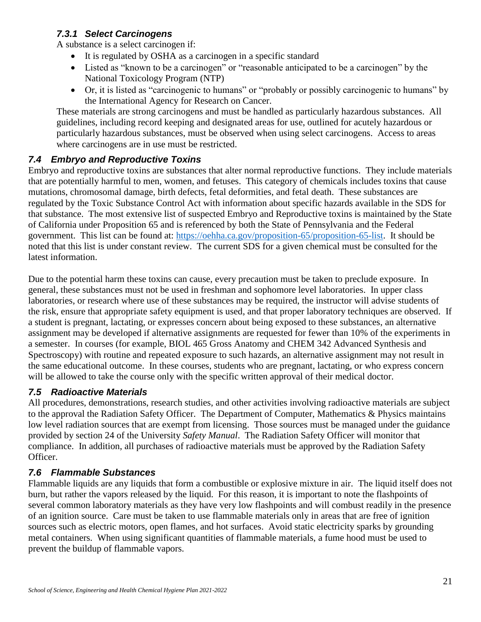### *7.3.1 Select Carcinogens*

A substance is a select carcinogen if:

- It is regulated by OSHA as a carcinogen in a specific standard
- Listed as "known to be a carcinogen" or "reasonable anticipated to be a carcinogen" by the National Toxicology Program (NTP)
- Or, it is listed as "carcinogenic to humans" or "probably or possibly carcinogenic to humans" by the International Agency for Research on Cancer.

These materials are strong carcinogens and must be handled as particularly hazardous substances. All guidelines, including record keeping and designated areas for use, outlined for acutely hazardous or particularly hazardous substances, must be observed when using select carcinogens. Access to areas where carcinogens are in use must be restricted.

### *7.4 Embryo and Reproductive Toxins*

Embryo and reproductive toxins are substances that alter normal reproductive functions. They include materials that are potentially harmful to men, women, and fetuses. This category of chemicals includes toxins that cause mutations, chromosomal damage, birth defects, fetal deformities, and fetal death. These substances are regulated by the Toxic Substance Control Act with information about specific hazards available in the SDS for that substance. The most extensive list of suspected Embryo and Reproductive toxins is maintained by the State of California under Proposition 65 and is referenced by both the State of Pennsylvania and the Federal government. This list can be found at: [https://oehha.ca.gov/proposition-65/proposition-65-list.](https://oehha.ca.gov/proposition-65/proposition-65-list) It should be noted that this list is under constant review. The current SDS for a given chemical must be consulted for the latest information.

Due to the potential harm these toxins can cause, every precaution must be taken to preclude exposure. In general, these substances must not be used in freshman and sophomore level laboratories. In upper class laboratories, or research where use of these substances may be required, the instructor will advise students of the risk, ensure that appropriate safety equipment is used, and that proper laboratory techniques are observed. If a student is pregnant, lactating, or expresses concern about being exposed to these substances, an alternative assignment may be developed if alternative assignments are requested for fewer than 10% of the experiments in a semester. In courses (for example, BIOL 465 Gross Anatomy and CHEM 342 Advanced Synthesis and Spectroscopy) with routine and repeated exposure to such hazards, an alternative assignment may not result in the same educational outcome. In these courses, students who are pregnant, lactating, or who express concern will be allowed to take the course only with the specific written approval of their medical doctor.

### *7.5 Radioactive Materials*

All procedures, demonstrations, research studies, and other activities involving radioactive materials are subject to the approval the Radiation Safety Officer. The Department of Computer, Mathematics & Physics maintains low level radiation sources that are exempt from licensing. Those sources must be managed under the guidance provided by section 24 of the University *Safety Manual*. The Radiation Safety Officer will monitor that compliance. In addition, all purchases of radioactive materials must be approved by the Radiation Safety Officer.

### *7.6 Flammable Substances*

Flammable liquids are any liquids that form a combustible or explosive mixture in air. The liquid itself does not burn, but rather the vapors released by the liquid. For this reason, it is important to note the flashpoints of several common laboratory materials as they have very low flashpoints and will combust readily in the presence of an ignition source. Care must be taken to use flammable materials only in areas that are free of ignition sources such as electric motors, open flames, and hot surfaces. Avoid static electricity sparks by grounding metal containers. When using significant quantities of flammable materials, a fume hood must be used to prevent the buildup of flammable vapors.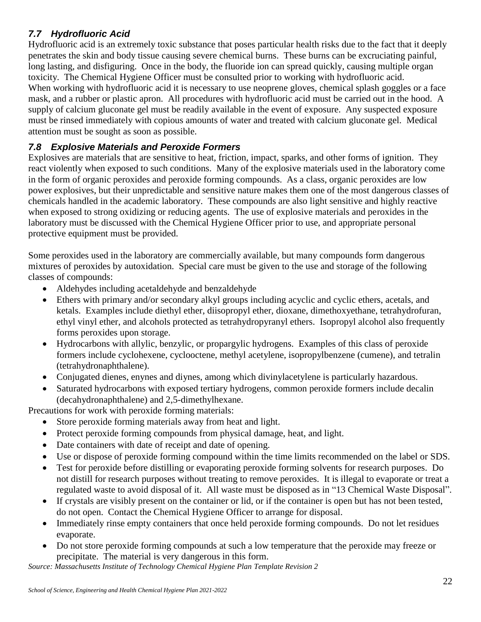## *7.7 Hydrofluoric Acid*

Hydrofluoric acid is an extremely toxic substance that poses particular health risks due to the fact that it deeply penetrates the skin and body tissue causing severe chemical burns. These burns can be excruciating painful, long lasting, and disfiguring. Once in the body, the fluoride ion can spread quickly, causing multiple organ toxicity. The Chemical Hygiene Officer must be consulted prior to working with hydrofluoric acid. When working with hydrofluoric acid it is necessary to use neoprene gloves, chemical splash goggles or a face mask, and a rubber or plastic apron. All procedures with hydrofluoric acid must be carried out in the hood. A supply of calcium gluconate gel must be readily available in the event of exposure. Any suspected exposure must be rinsed immediately with copious amounts of water and treated with calcium gluconate gel. Medical attention must be sought as soon as possible.

### *7.8 Explosive Materials and Peroxide Formers*

Explosives are materials that are sensitive to heat, friction, impact, sparks, and other forms of ignition. They react violently when exposed to such conditions. Many of the explosive materials used in the laboratory come in the form of organic peroxides and peroxide forming compounds. As a class, organic peroxides are low power explosives, but their unpredictable and sensitive nature makes them one of the most dangerous classes of chemicals handled in the academic laboratory. These compounds are also light sensitive and highly reactive when exposed to strong oxidizing or reducing agents. The use of explosive materials and peroxides in the laboratory must be discussed with the Chemical Hygiene Officer prior to use, and appropriate personal protective equipment must be provided.

Some peroxides used in the laboratory are commercially available, but many compounds form dangerous mixtures of peroxides by autoxidation. Special care must be given to the use and storage of the following classes of compounds:

- Aldehydes including acetaldehyde and benzaldehyde
- Ethers with primary and/or secondary alkyl groups including acyclic and cyclic ethers, acetals, and ketals. Examples include diethyl ether, diisopropyl ether, dioxane, dimethoxyethane, tetrahydrofuran, ethyl vinyl ether, and alcohols protected as tetrahydropyranyl ethers. Isopropyl alcohol also frequently forms peroxides upon storage.
- Hydrocarbons with allylic, benzylic, or propargylic hydrogens. Examples of this class of peroxide formers include cyclohexene, cyclooctene, methyl acetylene, isopropylbenzene (cumene), and tetralin (tetrahydronaphthalene).
- Conjugated dienes, enynes and diynes, among which divinylacetylene is particularly hazardous.
- Saturated hydrocarbons with exposed tertiary hydrogens, common peroxide formers include decalin (decahydronaphthalene) and 2,5-dimethylhexane.

Precautions for work with peroxide forming materials:

- Store peroxide forming materials away from heat and light.
- Protect peroxide forming compounds from physical damage, heat, and light.
- Date containers with date of receipt and date of opening.
- Use or dispose of peroxide forming compound within the time limits recommended on the label or SDS.
- Test for peroxide before distilling or evaporating peroxide forming solvents for research purposes. Do not distill for research purposes without treating to remove peroxides. It is illegal to evaporate or treat a regulated waste to avoid disposal of it. All waste must be disposed as in "13 Chemical Waste Disposal".
- If crystals are visibly present on the container or lid, or if the container is open but has not been tested, do not open. Contact the Chemical Hygiene Officer to arrange for disposal.
- Immediately rinse empty containers that once held peroxide forming compounds. Do not let residues evaporate.
- Do not store peroxide forming compounds at such a low temperature that the peroxide may freeze or precipitate. The material is very dangerous in this form.

*Source: Massachusetts Institute of Technology Chemical Hygiene Plan Template Revision 2*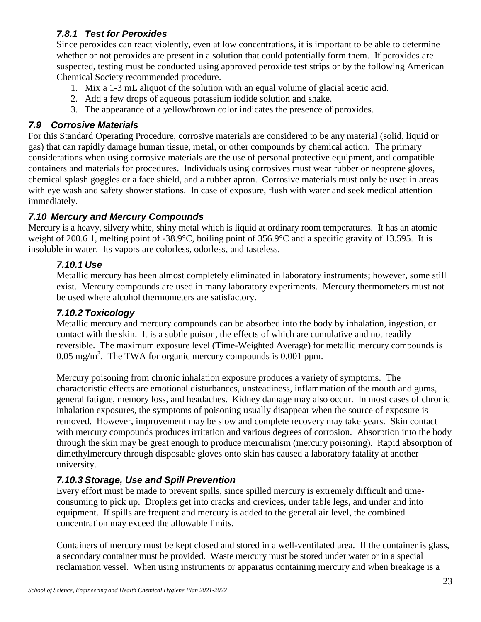### *7.8.1 Test for Peroxides*

Since peroxides can react violently, even at low concentrations, it is important to be able to determine whether or not peroxides are present in a solution that could potentially form them. If peroxides are suspected, testing must be conducted using approved peroxide test strips or by the following American Chemical Society recommended procedure.

- 1. Mix a 1-3 mL aliquot of the solution with an equal volume of glacial acetic acid.
- 2. Add a few drops of aqueous potassium iodide solution and shake.
- 3. The appearance of a yellow/brown color indicates the presence of peroxides.

### *7.9 Corrosive Materials*

For this Standard Operating Procedure, corrosive materials are considered to be any material (solid, liquid or gas) that can rapidly damage human tissue, metal, or other compounds by chemical action. The primary considerations when using corrosive materials are the use of personal protective equipment, and compatible containers and materials for procedures. Individuals using corrosives must wear rubber or neoprene gloves, chemical splash goggles or a face shield, and a rubber apron. Corrosive materials must only be used in areas with eye wash and safety shower stations. In case of exposure, flush with water and seek medical attention immediately.

### *7.10 Mercury and Mercury Compounds*

Mercury is a heavy, silvery white, shiny metal which is liquid at ordinary room temperatures. It has an atomic weight of 200.6 1, melting point of -38.9°C, boiling point of 356.9°C and a specific gravity of 13.595. It is insoluble in water. Its vapors are colorless, odorless, and tasteless.

### *7.10.1 Use*

Metallic mercury has been almost completely eliminated in laboratory instruments; however, some still exist. Mercury compounds are used in many laboratory experiments. Mercury thermometers must not be used where alcohol thermometers are satisfactory.

### *7.10.2 Toxicology*

Metallic mercury and mercury compounds can be absorbed into the body by inhalation, ingestion, or contact with the skin. It is a subtle poison, the effects of which are cumulative and not readily reversible. The maximum exposure level (Time-Weighted Average) for metallic mercury compounds is 0.05 mg/m<sup>3</sup>. The TWA for organic mercury compounds is 0.001 ppm.

Mercury poisoning from chronic inhalation exposure produces a variety of symptoms. The characteristic effects are emotional disturbances, unsteadiness, inflammation of the mouth and gums, general fatigue, memory loss, and headaches. Kidney damage may also occur. In most cases of chronic inhalation exposures, the symptoms of poisoning usually disappear when the source of exposure is removed. However, improvement may be slow and complete recovery may take years. Skin contact with mercury compounds produces irritation and various degrees of corrosion. Absorption into the body through the skin may be great enough to produce mercuralism (mercury poisoning). Rapid absorption of dimethylmercury through disposable gloves onto skin has caused a laboratory fatality at another university.

### *7.10.3 Storage, Use and Spill Prevention*

Every effort must be made to prevent spills, since spilled mercury is extremely difficult and timeconsuming to pick up. Droplets get into cracks and crevices, under table legs, and under and into equipment. If spills are frequent and mercury is added to the general air level, the combined concentration may exceed the allowable limits.

Containers of mercury must be kept closed and stored in a well-ventilated area. If the container is glass, a secondary container must be provided. Waste mercury must be stored under water or in a special reclamation vessel. When using instruments or apparatus containing mercury and when breakage is a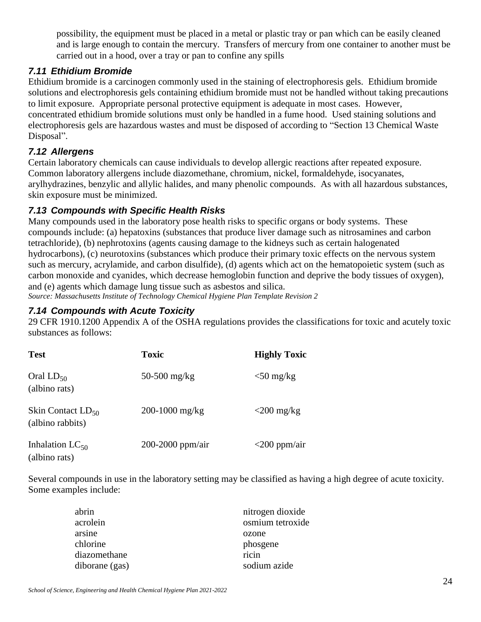possibility, the equipment must be placed in a metal or plastic tray or pan which can be easily cleaned and is large enough to contain the mercury. Transfers of mercury from one container to another must be carried out in a hood, over a tray or pan to confine any spills

### *7.11 Ethidium Bromide*

Ethidium bromide is a carcinogen commonly used in the staining of electrophoresis gels. Ethidium bromide solutions and electrophoresis gels containing ethidium bromide must not be handled without taking precautions to limit exposure. Appropriate personal protective equipment is adequate in most cases. However, concentrated ethidium bromide solutions must only be handled in a fume hood. Used staining solutions and electrophoresis gels are hazardous wastes and must be disposed of according to "Section 13 Chemical Waste Disposal".

### *7.12 Allergens*

Certain laboratory chemicals can cause individuals to develop allergic reactions after repeated exposure. Common laboratory allergens include diazomethane, chromium, nickel, formaldehyde, isocyanates, arylhydrazines, benzylic and allylic halides, and many phenolic compounds. As with all hazardous substances, skin exposure must be minimized.

### *7.13 Compounds with Specific Health Risks*

Many compounds used in the laboratory pose health risks to specific organs or body systems. These compounds include: (a) hepatoxins (substances that produce liver damage such as nitrosamines and carbon tetrachloride), (b) nephrotoxins (agents causing damage to the kidneys such as certain halogenated hydrocarbons), (c) neurotoxins (substances which produce their primary toxic effects on the nervous system such as mercury, acrylamide, and carbon disulfide), (d) agents which act on the hematopoietic system (such as carbon monoxide and cyanides, which decrease hemoglobin function and deprive the body tissues of oxygen), and (e) agents which damage lung tissue such as asbestos and silica.

*Source: Massachusetts Institute of Technology Chemical Hygiene Plan Template Revision 2*

### *7.14 Compounds with Acute Toxicity*

29 CFR 1910.1200 Appendix A of the OSHA regulations provides the classifications for toxic and acutely toxic substances as follows:

| <b>Test</b>                                | <b>Toxic</b>       | <b>Highly Toxic</b>           |
|--------------------------------------------|--------------------|-------------------------------|
| Oral $LD_{50}$<br>(albino rats)            | 50-500 $mg/kg$     | $<$ 50 mg/kg                  |
| Skin Contact $LD_{50}$<br>(albino rabbits) | $200 - 1000$ mg/kg | $<$ 200 mg/kg                 |
| Inhalation $LC_{50}$<br>(albino rats)      | $200-2000$ ppm/air | $\langle 200 \text{ ppm/air}$ |

Several compounds in use in the laboratory setting may be classified as having a high degree of acute toxicity. Some examples include:

| nitrogen dioxide |
|------------------|
| osmium tetroxide |
| ozone            |
| phosgene         |
| ricin            |
| sodium azide     |
|                  |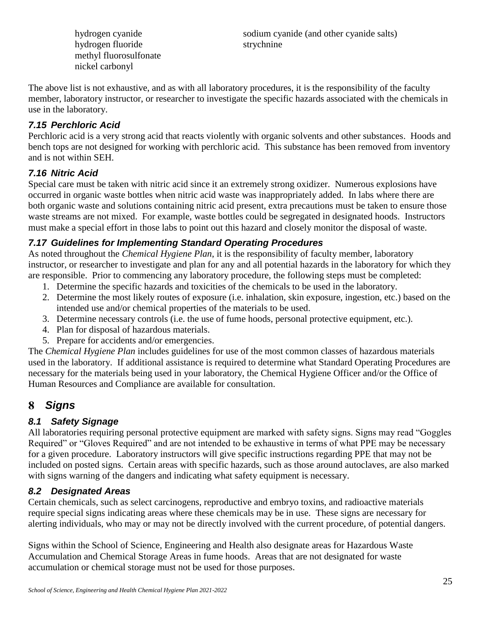hydrogen fluoride strychnine methyl fluorosulfonate nickel carbonyl

The above list is not exhaustive, and as with all laboratory procedures, it is the responsibility of the faculty member, laboratory instructor, or researcher to investigate the specific hazards associated with the chemicals in use in the laboratory.

### *7.15 Perchloric Acid*

Perchloric acid is a very strong acid that reacts violently with organic solvents and other substances. Hoods and bench tops are not designed for working with perchloric acid. This substance has been removed from inventory and is not within SEH.

## *7.16 Nitric Acid*

Special care must be taken with nitric acid since it an extremely strong oxidizer. Numerous explosions have occurred in organic waste bottles when nitric acid waste was inappropriately added. In labs where there are both organic waste and solutions containing nitric acid present, extra precautions must be taken to ensure those waste streams are not mixed. For example, waste bottles could be segregated in designated hoods. Instructors must make a special effort in those labs to point out this hazard and closely monitor the disposal of waste.

### *7.17 Guidelines for Implementing Standard Operating Procedures*

As noted throughout the *Chemical Hygiene Plan*, it is the responsibility of faculty member, laboratory instructor, or researcher to investigate and plan for any and all potential hazards in the laboratory for which they are responsible. Prior to commencing any laboratory procedure, the following steps must be completed:

- 1. Determine the specific hazards and toxicities of the chemicals to be used in the laboratory.
- 2. Determine the most likely routes of exposure (i.e. inhalation, skin exposure, ingestion, etc.) based on the intended use and/or chemical properties of the materials to be used.
- 3. Determine necessary controls (i.e. the use of fume hoods, personal protective equipment, etc.).
- 4. Plan for disposal of hazardous materials.
- 5. Prepare for accidents and/or emergencies.

The *Chemical Hygiene Plan* includes guidelines for use of the most common classes of hazardous materials used in the laboratory. If additional assistance is required to determine what Standard Operating Procedures are necessary for the materials being used in your laboratory, the Chemical Hygiene Officer and/or the Office of Human Resources and Compliance are available for consultation.

#### *Signs* 8

### *8.1 Safety Signage*

All laboratories requiring personal protective equipment are marked with safety signs. Signs may read "Goggles Required" or "Gloves Required" and are not intended to be exhaustive in terms of what PPE may be necessary for a given procedure. Laboratory instructors will give specific instructions regarding PPE that may not be included on posted signs. Certain areas with specific hazards, such as those around autoclaves, are also marked with signs warning of the dangers and indicating what safety equipment is necessary.

### *8.2 Designated Areas*

Certain chemicals, such as select carcinogens, reproductive and embryo toxins, and radioactive materials require special signs indicating areas where these chemicals may be in use. These signs are necessary for alerting individuals, who may or may not be directly involved with the current procedure, of potential dangers.

Signs within the School of Science, Engineering and Health also designate areas for Hazardous Waste Accumulation and Chemical Storage Areas in fume hoods. Areas that are not designated for waste accumulation or chemical storage must not be used for those purposes.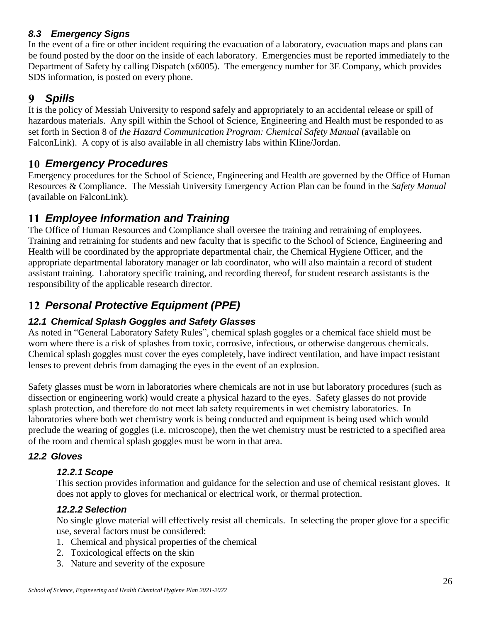## *8.3 Emergency Signs*

In the event of a fire or other incident requiring the evacuation of a laboratory, evacuation maps and plans can be found posted by the door on the inside of each laboratory. Emergencies must be reported immediately to the Department of Safety by calling Dispatch (x6005). The emergency number for 3E Company, which provides SDS information, is posted on every phone.

#### 9 *Spills*

It is the policy of Messiah University to respond safely and appropriately to an accidental release or spill of hazardous materials. Any spill within the School of Science, Engineering and Health must be responded to as set forth in Section 8 of *the Hazard Communication Program: Chemical Safety Manual* (available on FalconLink).A copy of is also available in all chemistry labs within Kline/Jordan.

## *Emergency Procedures*

Emergency procedures for the School of Science, Engineering and Health are governed by the Office of Human Resources & Compliance. The Messiah University Emergency Action Plan can be found in the *Safety Manual* (available on FalconLink)*.*

## *Employee Information and Training*

The Office of Human Resources and Compliance shall oversee the training and retraining of employees. Training and retraining for students and new faculty that is specific to the School of Science, Engineering and Health will be coordinated by the appropriate departmental chair, the Chemical Hygiene Officer, and the appropriate departmental laboratory manager or lab coordinator, who will also maintain a record of student assistant training. Laboratory specific training, and recording thereof, for student research assistants is the responsibility of the applicable research director.

## *Personal Protective Equipment (PPE)*

## *12.1 Chemical Splash Goggles and Safety Glasses*

As noted in "General Laboratory Safety Rules", chemical splash goggles or a chemical face shield must be worn where there is a risk of splashes from toxic, corrosive, infectious, or otherwise dangerous chemicals. Chemical splash goggles must cover the eyes completely, have indirect ventilation, and have impact resistant lenses to prevent debris from damaging the eyes in the event of an explosion.

Safety glasses must be worn in laboratories where chemicals are not in use but laboratory procedures (such as dissection or engineering work) would create a physical hazard to the eyes. Safety glasses do not provide splash protection, and therefore do not meet lab safety requirements in wet chemistry laboratories. In laboratories where both wet chemistry work is being conducted and equipment is being used which would preclude the wearing of goggles (i.e. microscope), then the wet chemistry must be restricted to a specified area of the room and chemical splash goggles must be worn in that area.

### *12.2 Gloves*

### *12.2.1 Scope*

This section provides information and guidance for the selection and use of chemical resistant gloves. It does not apply to gloves for mechanical or electrical work, or thermal protection.

### *12.2.2 Selection*

No single glove material will effectively resist all chemicals. In selecting the proper glove for a specific use, several factors must be considered:

- 1. Chemical and physical properties of the chemical
- 2. Toxicological effects on the skin
- 3. Nature and severity of the exposure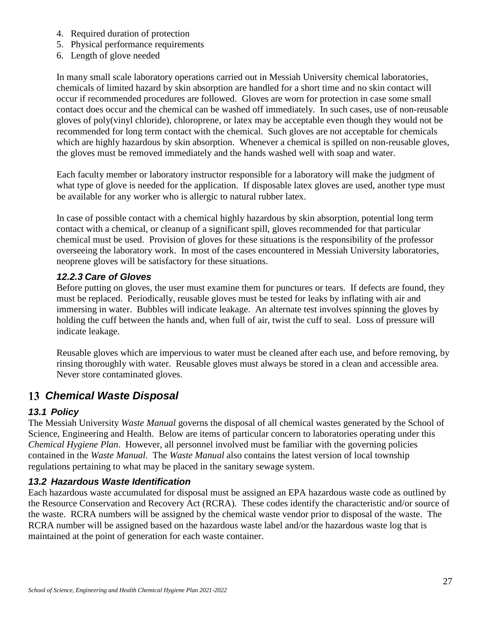- 4. Required duration of protection
- 5. Physical performance requirements
- 6. Length of glove needed

In many small scale laboratory operations carried out in Messiah University chemical laboratories, chemicals of limited hazard by skin absorption are handled for a short time and no skin contact will occur if recommended procedures are followed. Gloves are worn for protection in case some small contact does occur and the chemical can be washed off immediately. In such cases, use of non-reusable gloves of poly(vinyl chloride), chloroprene, or latex may be acceptable even though they would not be recommended for long term contact with the chemical. Such gloves are not acceptable for chemicals which are highly hazardous by skin absorption. Whenever a chemical is spilled on non-reusable gloves, the gloves must be removed immediately and the hands washed well with soap and water.

Each faculty member or laboratory instructor responsible for a laboratory will make the judgment of what type of glove is needed for the application. If disposable latex gloves are used, another type must be available for any worker who is allergic to natural rubber latex.

In case of possible contact with a chemical highly hazardous by skin absorption, potential long term contact with a chemical, or cleanup of a significant spill, gloves recommended for that particular chemical must be used. Provision of gloves for these situations is the responsibility of the professor overseeing the laboratory work. In most of the cases encountered in Messiah University laboratories, neoprene gloves will be satisfactory for these situations.

### *12.2.3 Care of Gloves*

Before putting on gloves, the user must examine them for punctures or tears. If defects are found, they must be replaced. Periodically, reusable gloves must be tested for leaks by inflating with air and immersing in water. Bubbles will indicate leakage. An alternate test involves spinning the gloves by holding the cuff between the hands and, when full of air, twist the cuff to seal. Loss of pressure will indicate leakage.

Reusable gloves which are impervious to water must be cleaned after each use, and before removing, by rinsing thoroughly with water. Reusable gloves must always be stored in a clean and accessible area. Never store contaminated gloves.

## *Chemical Waste Disposal*

### *13.1 Policy*

The Messiah University *Waste Manual* governs the disposal of all chemical wastes generated by the School of Science, Engineering and Health. Below are items of particular concern to laboratories operating under this *Chemical Hygiene Plan*. However, all personnel involved must be familiar with the governing policies contained in the *Waste Manual*. The *Waste Manual* also contains the latest version of local township regulations pertaining to what may be placed in the sanitary sewage system.

### *13.2 Hazardous Waste Identification*

Each hazardous waste accumulated for disposal must be assigned an EPA hazardous waste code as outlined by the Resource Conservation and Recovery Act (RCRA). These codes identify the characteristic and/or source of the waste. RCRA numbers will be assigned by the chemical waste vendor prior to disposal of the waste. The RCRA number will be assigned based on the hazardous waste label and/or the hazardous waste log that is maintained at the point of generation for each waste container.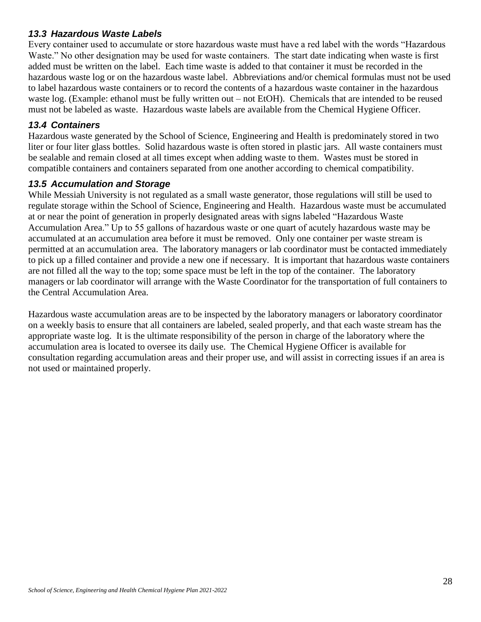### *13.3 Hazardous Waste Labels*

Every container used to accumulate or store hazardous waste must have a red label with the words "Hazardous Waste." No other designation may be used for waste containers. The start date indicating when waste is first added must be written on the label. Each time waste is added to that container it must be recorded in the hazardous waste log or on the hazardous waste label. Abbreviations and/or chemical formulas must not be used to label hazardous waste containers or to record the contents of a hazardous waste container in the hazardous waste log. (Example: ethanol must be fully written out – not EtOH). Chemicals that are intended to be reused must not be labeled as waste. Hazardous waste labels are available from the Chemical Hygiene Officer.

### *13.4 Containers*

Hazardous waste generated by the School of Science, Engineering and Health is predominately stored in two liter or four liter glass bottles. Solid hazardous waste is often stored in plastic jars. All waste containers must be sealable and remain closed at all times except when adding waste to them. Wastes must be stored in compatible containers and containers separated from one another according to chemical compatibility.

### *13.5 Accumulation and Storage*

While Messiah University is not regulated as a small waste generator, those regulations will still be used to regulate storage within the School of Science, Engineering and Health. Hazardous waste must be accumulated at or near the point of generation in properly designated areas with signs labeled "Hazardous Waste Accumulation Area." Up to 55 gallons of hazardous waste or one quart of acutely hazardous waste may be accumulated at an accumulation area before it must be removed. Only one container per waste stream is permitted at an accumulation area. The laboratory managers or lab coordinator must be contacted immediately to pick up a filled container and provide a new one if necessary. It is important that hazardous waste containers are not filled all the way to the top; some space must be left in the top of the container. The laboratory managers or lab coordinator will arrange with the Waste Coordinator for the transportation of full containers to the Central Accumulation Area.

Hazardous waste accumulation areas are to be inspected by the laboratory managers or laboratory coordinator on a weekly basis to ensure that all containers are labeled, sealed properly, and that each waste stream has the appropriate waste log. It is the ultimate responsibility of the person in charge of the laboratory where the accumulation area is located to oversee its daily use. The Chemical Hygiene Officer is available for consultation regarding accumulation areas and their proper use, and will assist in correcting issues if an area is not used or maintained properly.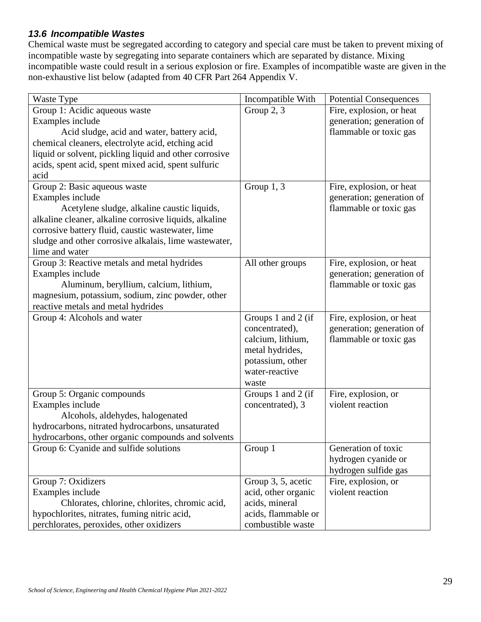### *13.6 Incompatible Wastes*

Chemical waste must be segregated according to category and special care must be taken to prevent mixing of incompatible waste by segregating into separate containers which are separated by distance. Mixing incompatible waste could result in a serious explosion or fire. Examples of incompatible waste are given in the non-exhaustive list below (adapted from 40 CFR Part 264 Appendix V.

| Waste Type                                             | Incompatible With   | <b>Potential Consequences</b> |
|--------------------------------------------------------|---------------------|-------------------------------|
| Group 1: Acidic aqueous waste                          | Group 2, 3          | Fire, explosion, or heat      |
| Examples include                                       |                     | generation; generation of     |
| Acid sludge, acid and water, battery acid,             |                     | flammable or toxic gas        |
| chemical cleaners, electrolyte acid, etching acid      |                     |                               |
| liquid or solvent, pickling liquid and other corrosive |                     |                               |
| acids, spent acid, spent mixed acid, spent sulfuric    |                     |                               |
| acid                                                   |                     |                               |
| Group 2: Basic aqueous waste                           | Group 1, 3          | Fire, explosion, or heat      |
| Examples include                                       |                     | generation; generation of     |
| Acetylene sludge, alkaline caustic liquids,            |                     | flammable or toxic gas        |
| alkaline cleaner, alkaline corrosive liquids, alkaline |                     |                               |
| corrosive battery fluid, caustic wastewater, lime      |                     |                               |
| sludge and other corrosive alkalais, lime wastewater,  |                     |                               |
| lime and water                                         |                     |                               |
| Group 3: Reactive metals and metal hydrides            | All other groups    | Fire, explosion, or heat      |
| Examples include                                       |                     | generation; generation of     |
| Aluminum, beryllium, calcium, lithium,                 |                     | flammable or toxic gas        |
| magnesium, potassium, sodium, zinc powder, other       |                     |                               |
| reactive metals and metal hydrides                     |                     |                               |
| Group 4: Alcohols and water                            | Groups 1 and 2 (if  | Fire, explosion, or heat      |
|                                                        | concentrated),      | generation; generation of     |
|                                                        | calcium, lithium,   | flammable or toxic gas        |
|                                                        | metal hydrides,     |                               |
|                                                        | potassium, other    |                               |
|                                                        | water-reactive      |                               |
|                                                        | waste               |                               |
| Group 5: Organic compounds                             | Groups 1 and 2 (if  | Fire, explosion, or           |
| Examples include                                       | concentrated), 3    | violent reaction              |
| Alcohols, aldehydes, halogenated                       |                     |                               |
| hydrocarbons, nitrated hydrocarbons, unsaturated       |                     |                               |
| hydrocarbons, other organic compounds and solvents     |                     |                               |
| Group 6: Cyanide and sulfide solutions                 | Group 1             | Generation of toxic           |
|                                                        |                     | hydrogen cyanide or           |
|                                                        |                     | hydrogen sulfide gas          |
| Group 7: Oxidizers                                     | Group 3, 5, acetic  | Fire, explosion, or           |
| Examples include                                       | acid, other organic | violent reaction              |
| Chlorates, chlorine, chlorites, chromic acid,          | acids, mineral      |                               |
| hypochlorites, nitrates, fuming nitric acid,           | acids, flammable or |                               |
| perchlorates, peroxides, other oxidizers               | combustible waste   |                               |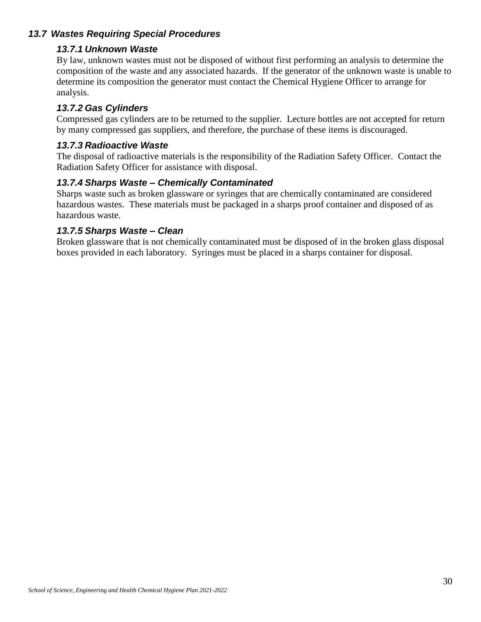### *13.7 Wastes Requiring Special Procedures*

### *13.7.1 Unknown Waste*

By law, unknown wastes must not be disposed of without first performing an analysis to determine the composition of the waste and any associated hazards. If the generator of the unknown waste is unable to determine its composition the generator must contact the Chemical Hygiene Officer to arrange for analysis.

### *13.7.2 Gas Cylinders*

Compressed gas cylinders are to be returned to the supplier. Lecture bottles are not accepted for return by many compressed gas suppliers, and therefore, the purchase of these items is discouraged.

#### *13.7.3 Radioactive Waste*

The disposal of radioactive materials is the responsibility of the Radiation Safety Officer. Contact the Radiation Safety Officer for assistance with disposal.

### *13.7.4 Sharps Waste – Chemically Contaminated*

Sharps waste such as broken glassware or syringes that are chemically contaminated are considered hazardous wastes. These materials must be packaged in a sharps proof container and disposed of as hazardous waste.

#### *13.7.5 Sharps Waste – Clean*

Broken glassware that is not chemically contaminated must be disposed of in the broken glass disposal boxes provided in each laboratory. Syringes must be placed in a sharps container for disposal.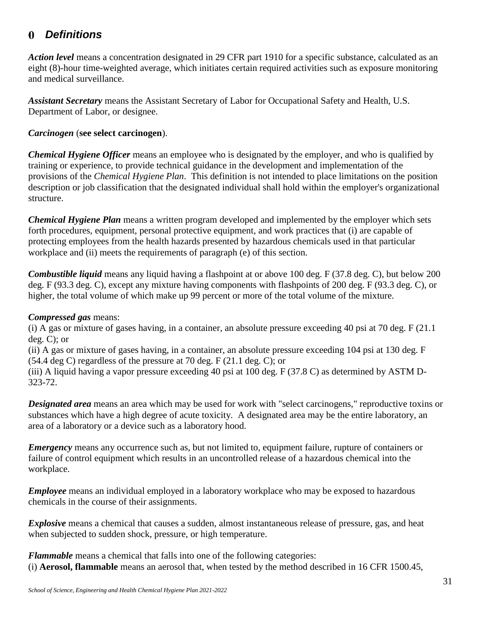#### *Definitions*  $\mathbf{0}$

*Action level* means a concentration designated in 29 CFR part 1910 for a specific substance, calculated as an eight (8)-hour time-weighted average, which initiates certain required activities such as exposure monitoring and medical surveillance.

*Assistant Secretary* means the Assistant Secretary of Labor for Occupational Safety and Health, U.S. Department of Labor, or designee.

#### *Carcinogen* (**see select carcinogen**).

*Chemical Hygiene Officer* means an employee who is designated by the employer, and who is qualified by training or experience, to provide technical guidance in the development and implementation of the provisions of the *Chemical Hygiene Plan*. This definition is not intended to place limitations on the position description or job classification that the designated individual shall hold within the employer's organizational structure.

*Chemical Hygiene Plan* means a written program developed and implemented by the employer which sets forth procedures, equipment, personal protective equipment, and work practices that (i) are capable of protecting employees from the health hazards presented by hazardous chemicals used in that particular workplace and (ii) meets the requirements of paragraph (e) of this section.

*Combustible liquid* means any liquid having a flashpoint at or above 100 deg. F (37.8 deg. C), but below 200 deg. F (93.3 deg. C), except any mixture having components with flashpoints of 200 deg. F (93.3 deg. C), or higher, the total volume of which make up 99 percent or more of the total volume of the mixture.

### *Compressed gas* means:

(i) A gas or mixture of gases having, in a container, an absolute pressure exceeding 40 psi at 70 deg. F (21.1 deg. C); or

(ii) A gas or mixture of gases having, in a container, an absolute pressure exceeding 104 psi at 130 deg. F  $(54.4 \deg C)$  regardless of the pressure at 70 deg. F  $(21.1 \deg C)$ ; or

(iii) A liquid having a vapor pressure exceeding 40 psi at 100 deg. F (37.8 C) as determined by ASTM D-323-72.

*Designated area* means an area which may be used for work with "select carcinogens," reproductive toxins or substances which have a high degree of acute toxicity. A designated area may be the entire laboratory, an area of a laboratory or a device such as a laboratory hood.

*Emergency* means any occurrence such as, but not limited to, equipment failure, rupture of containers or failure of control equipment which results in an uncontrolled release of a hazardous chemical into the workplace.

*Employee* means an individual employed in a laboratory workplace who may be exposed to hazardous chemicals in the course of their assignments.

*Explosive* means a chemical that causes a sudden, almost instantaneous release of pressure, gas, and heat when subjected to sudden shock, pressure, or high temperature.

*Flammable* means a chemical that falls into one of the following categories: (i) **Aerosol, flammable** means an aerosol that, when tested by the method described in 16 CFR 1500.45,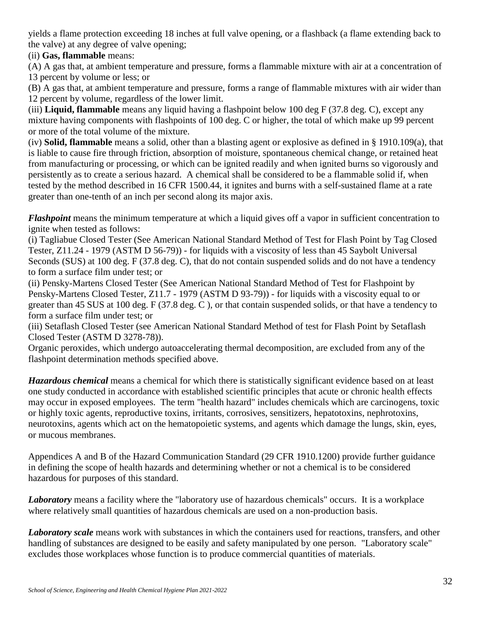yields a flame protection exceeding 18 inches at full valve opening, or a flashback (a flame extending back to the valve) at any degree of valve opening;

(ii) **Gas, flammable** means:

(A) A gas that, at ambient temperature and pressure, forms a flammable mixture with air at a concentration of 13 percent by volume or less; or

(B) A gas that, at ambient temperature and pressure, forms a range of flammable mixtures with air wider than 12 percent by volume, regardless of the lower limit.

(iii) **Liquid, flammable** means any liquid having a flashpoint below 100 deg F (37.8 deg. C), except any mixture having components with flashpoints of 100 deg. C or higher, the total of which make up 99 percent or more of the total volume of the mixture.

(iv) **Solid, flammable** means a solid, other than a blasting agent or explosive as defined in § 1910.109(a), that is liable to cause fire through friction, absorption of moisture, spontaneous chemical change, or retained heat from manufacturing or processing, or which can be ignited readily and when ignited burns so vigorously and persistently as to create a serious hazard. A chemical shall be considered to be a flammable solid if, when tested by the method described in 16 CFR 1500.44, it ignites and burns with a self-sustained flame at a rate greater than one-tenth of an inch per second along its major axis.

*Flashpoint* means the minimum temperature at which a liquid gives off a vapor in sufficient concentration to ignite when tested as follows:

(i) Tagliabue Closed Tester (See American National Standard Method of Test for Flash Point by Tag Closed Tester, Z11.24 - 1979 (ASTM D 56-79)) - for liquids with a viscosity of less than 45 Saybolt Universal Seconds (SUS) at 100 deg. F (37.8 deg. C), that do not contain suspended solids and do not have a tendency to form a surface film under test; or

(ii) Pensky-Martens Closed Tester (See American National Standard Method of Test for Flashpoint by Pensky-Martens Closed Tester, Z11.7 - 1979 (ASTM D 93-79)) - for liquids with a viscosity equal to or greater than 45 SUS at 100 deg. F (37.8 deg. C ), or that contain suspended solids, or that have a tendency to form a surface film under test; or

(iii) Setaflash Closed Tester (see American National Standard Method of test for Flash Point by Setaflash Closed Tester (ASTM D 3278-78)).

Organic peroxides, which undergo autoaccelerating thermal decomposition, are excluded from any of the flashpoint determination methods specified above.

*Hazardous chemical* means a chemical for which there is statistically significant evidence based on at least one study conducted in accordance with established scientific principles that acute or chronic health effects may occur in exposed employees. The term "health hazard" includes chemicals which are carcinogens, toxic or highly toxic agents, reproductive toxins, irritants, corrosives, sensitizers, hepatotoxins, nephrotoxins, neurotoxins, agents which act on the hematopoietic systems, and agents which damage the lungs, skin, eyes, or mucous membranes.

Appendices A and B of the Hazard Communication Standard (29 CFR 1910.1200) provide further guidance in defining the scope of health hazards and determining whether or not a chemical is to be considered hazardous for purposes of this standard.

*Laboratory* means a facility where the "laboratory use of hazardous chemicals" occurs. It is a workplace where relatively small quantities of hazardous chemicals are used on a non-production basis.

*Laboratory scale* means work with substances in which the containers used for reactions, transfers, and other handling of substances are designed to be easily and safety manipulated by one person. "Laboratory scale" excludes those workplaces whose function is to produce commercial quantities of materials.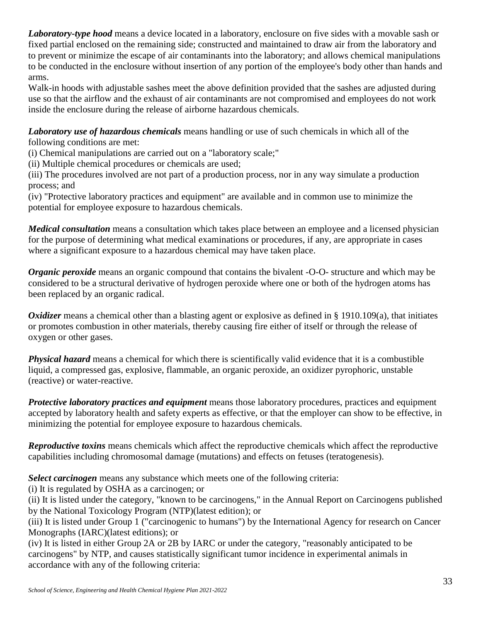*Laboratory-type hood* means a device located in a laboratory, enclosure on five sides with a movable sash or fixed partial enclosed on the remaining side; constructed and maintained to draw air from the laboratory and to prevent or minimize the escape of air contaminants into the laboratory; and allows chemical manipulations to be conducted in the enclosure without insertion of any portion of the employee's body other than hands and arms.

Walk-in hoods with adjustable sashes meet the above definition provided that the sashes are adjusted during use so that the airflow and the exhaust of air contaminants are not compromised and employees do not work inside the enclosure during the release of airborne hazardous chemicals.

*Laboratory use of hazardous chemicals* means handling or use of such chemicals in which all of the following conditions are met:

(i) Chemical manipulations are carried out on a "laboratory scale;"

(ii) Multiple chemical procedures or chemicals are used;

(iii) The procedures involved are not part of a production process, nor in any way simulate a production process; and

(iv) "Protective laboratory practices and equipment" are available and in common use to minimize the potential for employee exposure to hazardous chemicals.

*Medical consultation* means a consultation which takes place between an employee and a licensed physician for the purpose of determining what medical examinations or procedures, if any, are appropriate in cases where a significant exposure to a hazardous chemical may have taken place.

*Organic peroxide* means an organic compound that contains the bivalent -O-O- structure and which may be considered to be a structural derivative of hydrogen peroxide where one or both of the hydrogen atoms has been replaced by an organic radical.

*Oxidizer* means a chemical other than a blasting agent or explosive as defined in § 1910.109(a), that initiates or promotes combustion in other materials, thereby causing fire either of itself or through the release of oxygen or other gases.

*Physical hazard* means a chemical for which there is scientifically valid evidence that it is a combustible liquid, a compressed gas, explosive, flammable, an organic peroxide, an oxidizer pyrophoric, unstable (reactive) or water-reactive.

*Protective laboratory practices and equipment* means those laboratory procedures, practices and equipment accepted by laboratory health and safety experts as effective, or that the employer can show to be effective, in minimizing the potential for employee exposure to hazardous chemicals.

*Reproductive toxins* means chemicals which affect the reproductive chemicals which affect the reproductive capabilities including chromosomal damage (mutations) and effects on fetuses (teratogenesis).

*Select carcinogen* means any substance which meets one of the following criteria:

(i) It is regulated by OSHA as a carcinogen; or

(ii) It is listed under the category, "known to be carcinogens," in the Annual Report on Carcinogens published by the National Toxicology Program (NTP)(latest edition); or

(iii) It is listed under Group 1 ("carcinogenic to humans") by the International Agency for research on Cancer Monographs (IARC)(latest editions); or

(iv) It is listed in either Group 2A or 2B by IARC or under the category, "reasonably anticipated to be carcinogens" by NTP, and causes statistically significant tumor incidence in experimental animals in accordance with any of the following criteria: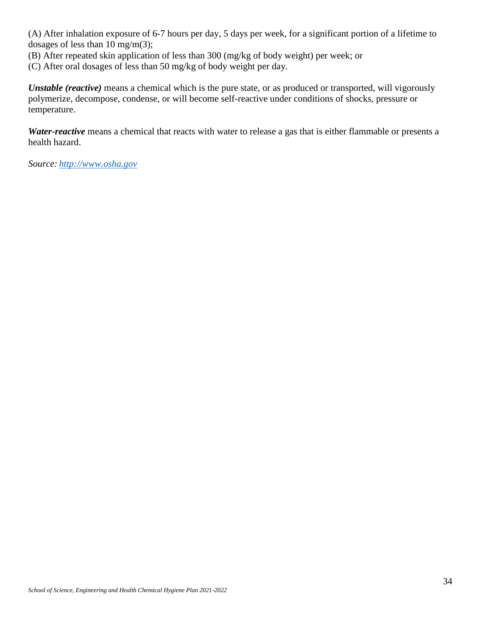(A) After inhalation exposure of 6-7 hours per day, 5 days per week, for a significant portion of a lifetime to dosages of less than 10 mg/m(3);

(B) After repeated skin application of less than 300 (mg/kg of body weight) per week; or

(C) After oral dosages of less than 50 mg/kg of body weight per day.

*Unstable (reactive)* means a chemical which is the pure state, or as produced or transported, will vigorously polymerize, decompose, condense, or will become self-reactive under conditions of shocks, pressure or temperature.

*Water-reactive* means a chemical that reacts with water to release a gas that is either flammable or presents a health hazard.

*Source: [http://www.osha.gov](http://www.osha.gov/)*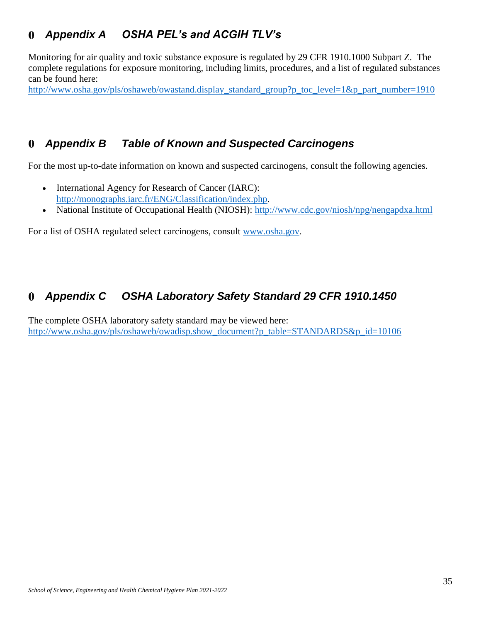#### *Appendix A OSHA PEL's and ACGIH TLV's*  $\bf{0}$

Monitoring for air quality and toxic substance exposure is regulated by 29 CFR 1910.1000 Subpart Z. The complete regulations for exposure monitoring, including limits, procedures, and a list of regulated substances can be found here:

[http://www.osha.gov/pls/oshaweb/owastand.display\\_standard\\_group?p\\_toc\\_level=1&p\\_part\\_number=1910](http://www.osha.gov/pls/oshaweb/owastand.display_standard_group?p_toc_level=1&p_part_number=1910)

#### *Appendix B Table of Known and Suspected Carcinogens*  $\mathbf{0}$

For the most up-to-date information on known and suspected carcinogens, consult the following agencies.

- International Agency for Research of Cancer (IARC): [http://monographs.iarc.fr/ENG/Classification/index.php.](http://monographs.iarc.fr/ENG/Classification/index.php)
- National Institute of Occupational Health (NIOSH):<http://www.cdc.gov/niosh/npg/nengapdxa.html>

For a list of OSHA regulated select carcinogens, consult [www.osha.gov.](http://www.osha.gov/)

#### *Appendix C OSHA Laboratory Safety Standard 29 CFR 1910.1450*  $\mathbf{0}$

The complete OSHA laboratory safety standard may be viewed here: [http://www.osha.gov/pls/oshaweb/owadisp.show\\_document?p\\_table=STANDARDS&p\\_id=10106](http://www.osha.gov/pls/oshaweb/owadisp.show_document?p_table=STANDARDS&p_id=10106)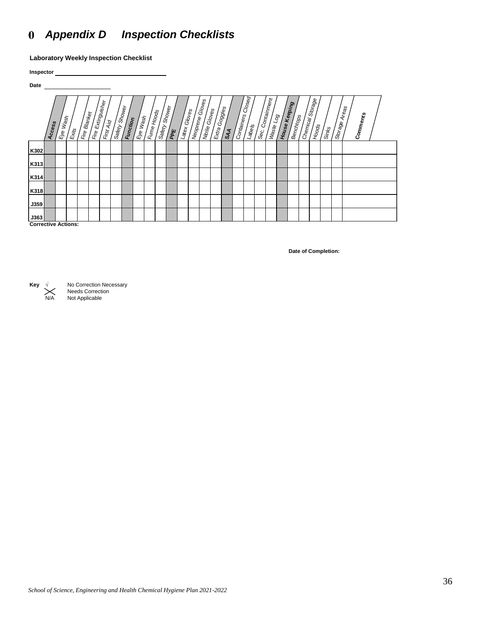#### *Appendix D Inspection Checklists*  $\boldsymbol{0}$

**Laboratory Weekly Inspection Checklist**



**Date of Completion:**

**Key** √ No Correction Necessary<br>N/A Not Applicable<br>N/A Not Applicable Needs Correction Not Applicable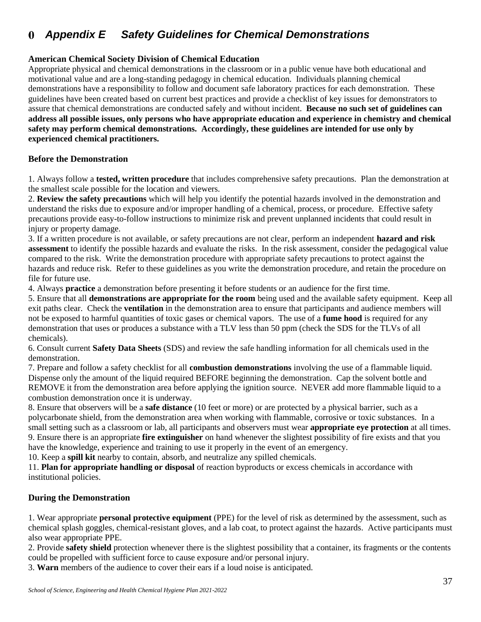#### *Appendix E Safety Guidelines for Chemical Demonstrations*  $\mathbf{0}$

#### **American Chemical Society Division of Chemical Education**

Appropriate physical and chemical demonstrations in the classroom or in a public venue have both educational and motivational value and are a long-standing pedagogy in chemical education. Individuals planning chemical demonstrations have a responsibility to follow and document safe laboratory practices for each demonstration. These guidelines have been created based on current best practices and provide a checklist of key issues for demonstrators to assure that chemical demonstrations are conducted safely and without incident. **Because no such set of guidelines can address all possible issues, only persons who have appropriate education and experience in chemistry and chemical safety may perform chemical demonstrations. Accordingly, these guidelines are intended for use only by experienced chemical practitioners.**

#### **Before the Demonstration**

1. Always follow a **tested, written procedure** that includes comprehensive safety precautions. Plan the demonstration at the smallest scale possible for the location and viewers.

2. **Review the safety precautions** which will help you identify the potential hazards involved in the demonstration and understand the risks due to exposure and/or improper handling of a chemical, process, or procedure. Effective safety precautions provide easy-to-follow instructions to minimize risk and prevent unplanned incidents that could result in injury or property damage.

3. If a written procedure is not available, or safety precautions are not clear, perform an independent **hazard and risk assessment** to identify the possible hazards and evaluate the risks. In the risk assessment, consider the pedagogical value compared to the risk. Write the demonstration procedure with appropriate safety precautions to protect against the hazards and reduce risk. Refer to these guidelines as you write the demonstration procedure, and retain the procedure on file for future use.

4. Always **practice** a demonstration before presenting it before students or an audience for the first time.

5. Ensure that all **demonstrations are appropriate for the room** being used and the available safety equipment. Keep all exit paths clear. Check the **ventilation** in the demonstration area to ensure that participants and audience members will not be exposed to harmful quantities of toxic gases or chemical vapors. The use of a **fume hood** is required for any demonstration that uses or produces a substance with a TLV less than 50 ppm (check the SDS for the TLVs of all chemicals).

6. Consult current **Safety Data Sheets** (SDS) and review the safe handling information for all chemicals used in the demonstration.

7. Prepare and follow a safety checklist for all **combustion demonstrations** involving the use of a flammable liquid. Dispense only the amount of the liquid required BEFORE beginning the demonstration. Cap the solvent bottle and REMOVE it from the demonstration area before applying the ignition source. NEVER add more flammable liquid to a combustion demonstration once it is underway.

8. Ensure that observers will be a **safe distance** (10 feet or more) or are protected by a physical barrier, such as a polycarbonate shield, from the demonstration area when working with flammable, corrosive or toxic substances. In a small setting such as a classroom or lab, all participants and observers must wear **appropriate eye protection** at all times. 9. Ensure there is an appropriate **fire extinguisher** on hand whenever the slightest possibility of fire exists and that you have the knowledge, experience and training to use it properly in the event of an emergency.

10. Keep a **spill kit** nearby to contain, absorb, and neutralize any spilled chemicals.

11. **Plan for appropriate handling or disposal** of reaction byproducts or excess chemicals in accordance with institutional policies.

#### **During the Demonstration**

1. Wear appropriate **personal protective equipment** (PPE) for the level of risk as determined by the assessment, such as chemical splash goggles, chemical-resistant gloves, and a lab coat, to protect against the hazards. Active participants must also wear appropriate PPE.

2. Provide **safety shield** protection whenever there is the slightest possibility that a container, its fragments or the contents could be propelled with sufficient force to cause exposure and/or personal injury.

3. **Warn** members of the audience to cover their ears if a loud noise is anticipated.